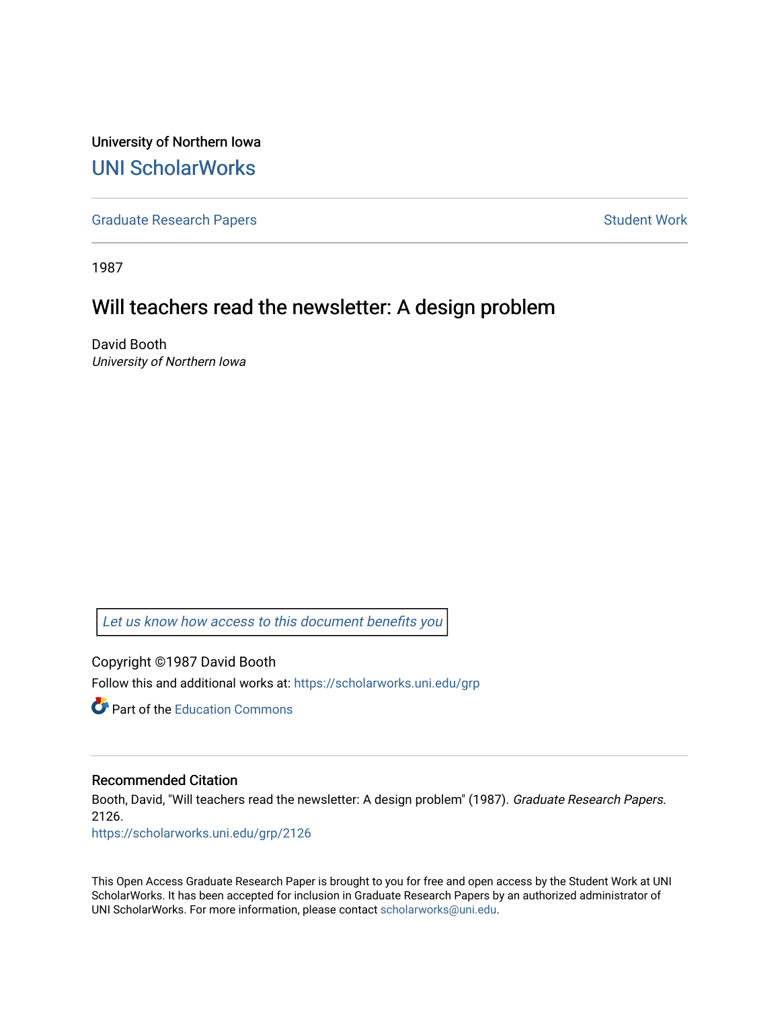University of Northern Iowa [UNI ScholarWorks](https://scholarworks.uni.edu/) 

[Graduate Research Papers](https://scholarworks.uni.edu/grp) **Student Work** Student Work

1987

# Will teachers read the newsletter: A design problem

David Booth University of Northern Iowa

[Let us know how access to this document benefits you](https://scholarworks.uni.edu/feedback_form.html) 

Copyright ©1987 David Booth Follow this and additional works at: [https://scholarworks.uni.edu/grp](https://scholarworks.uni.edu/grp?utm_source=scholarworks.uni.edu%2Fgrp%2F2126&utm_medium=PDF&utm_campaign=PDFCoverPages) 

**C** Part of the [Education Commons](http://network.bepress.com/hgg/discipline/784?utm_source=scholarworks.uni.edu%2Fgrp%2F2126&utm_medium=PDF&utm_campaign=PDFCoverPages)

### Recommended Citation

Booth, David, "Will teachers read the newsletter: A design problem" (1987). Graduate Research Papers. 2126.

[https://scholarworks.uni.edu/grp/2126](https://scholarworks.uni.edu/grp/2126?utm_source=scholarworks.uni.edu%2Fgrp%2F2126&utm_medium=PDF&utm_campaign=PDFCoverPages) 

This Open Access Graduate Research Paper is brought to you for free and open access by the Student Work at UNI ScholarWorks. It has been accepted for inclusion in Graduate Research Papers by an authorized administrator of UNI ScholarWorks. For more information, please contact [scholarworks@uni.edu.](mailto:scholarworks@uni.edu)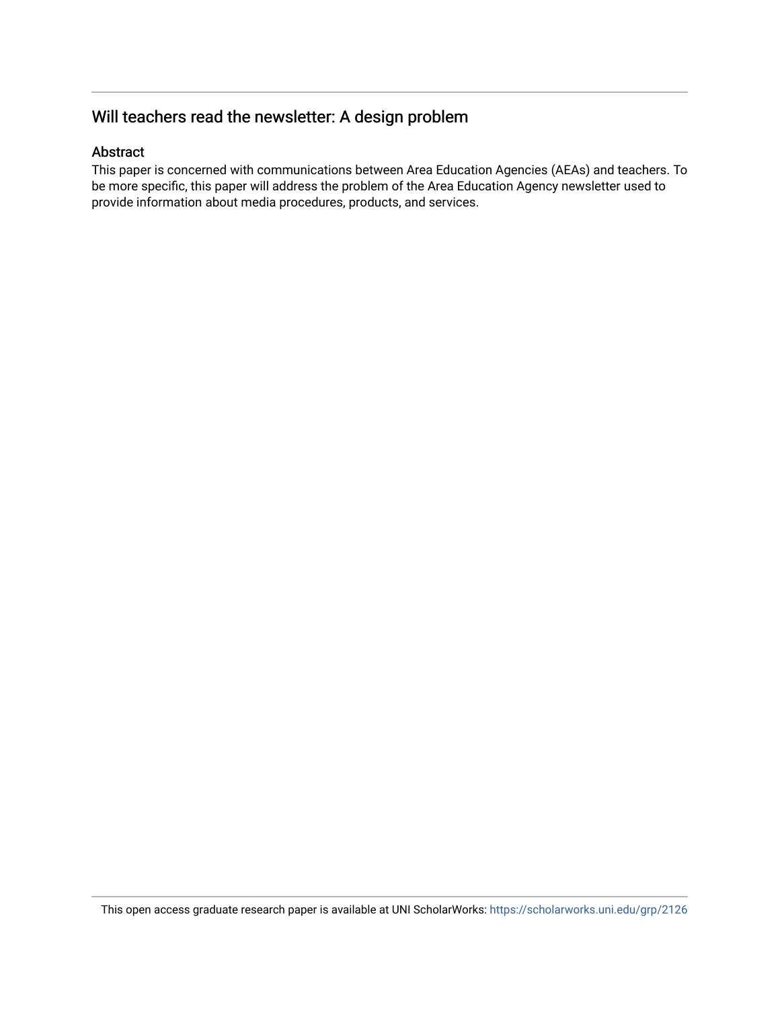# Will teachers read the newsletter: A design problem

## Abstract

This paper is concerned with communications between Area Education Agencies (AEAs) and teachers. To be more specific, this paper will address the problem of the Area Education Agency newsletter used to provide information about media procedures, products, and services.

This open access graduate research paper is available at UNI ScholarWorks: <https://scholarworks.uni.edu/grp/2126>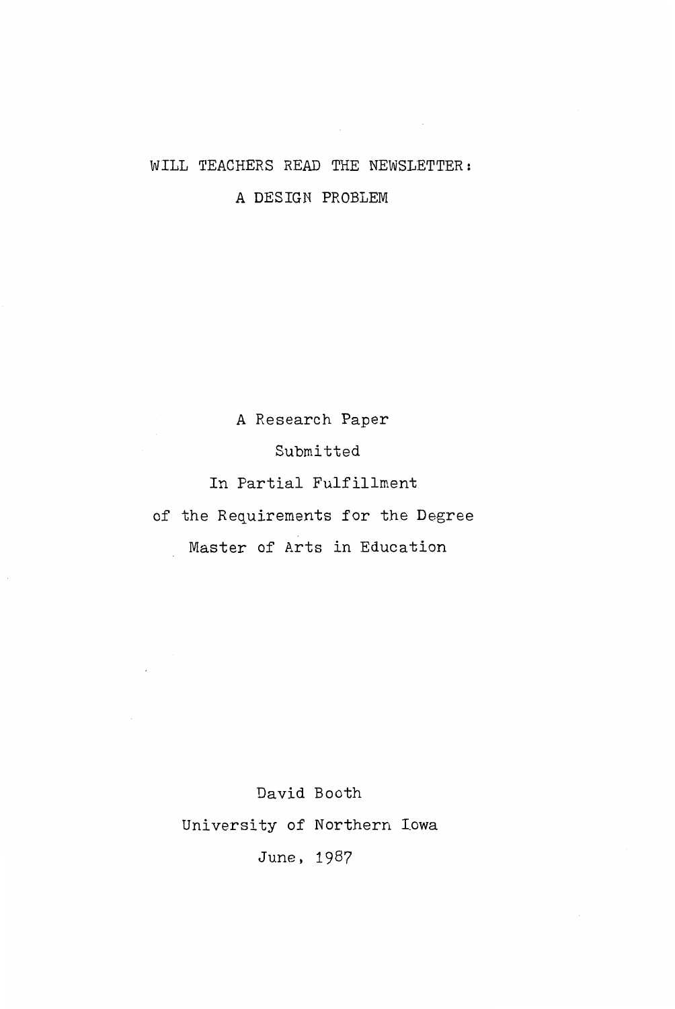# WILL TEACHERS READ THE NEWSLETTER:

A DESIGN PROBLEM

A Research Paper

Submitted

In Partial Fulfillment

of the Requirements for the Degree

Master of Arts in Education

David Booth University of Northern Iowa June, 1987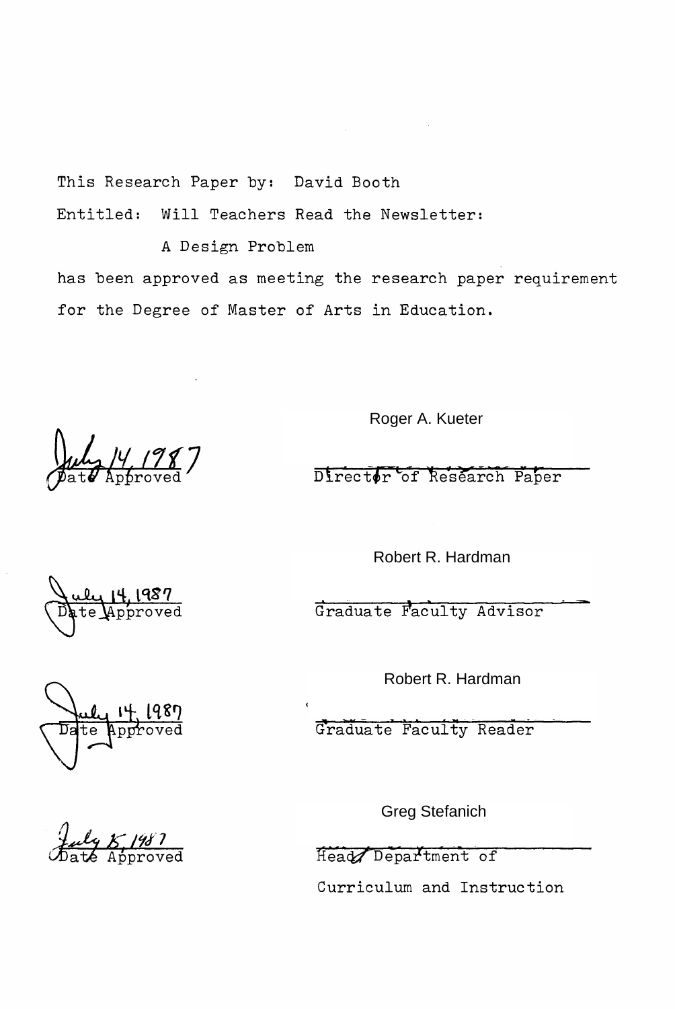This Research Paper by: David Booth

Entitled: Will Teachers Read the Newsletter:

A Design Problem

has been approved as meeting the research paper requirement for the Degree of Master of Arts in Education.

Roger A. Kueter

Director of Research Paper

Robert R. Hardman

Graduate Faculty Advisor

Robert R. Hardman

Graduate Faculty Reader

Greg Stefanich

Head Department of Curriculum and Instruction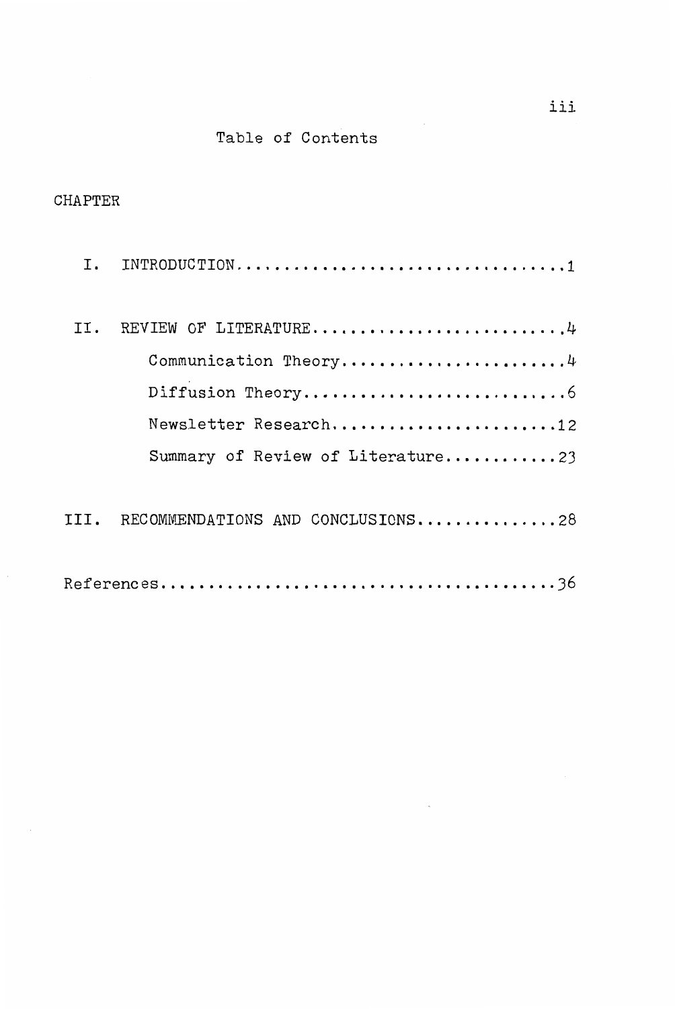# Table of Contents

# CHAPTER

| Τ.   |                                                            |
|------|------------------------------------------------------------|
| TT.  | Communication Theory4                                      |
|      | Newsletter Research12<br>Summary of Review of Literature23 |
| TTT. | RECOMMENDATIONS AND CONCLUSIONS28                          |
|      |                                                            |

 $\bar{h}$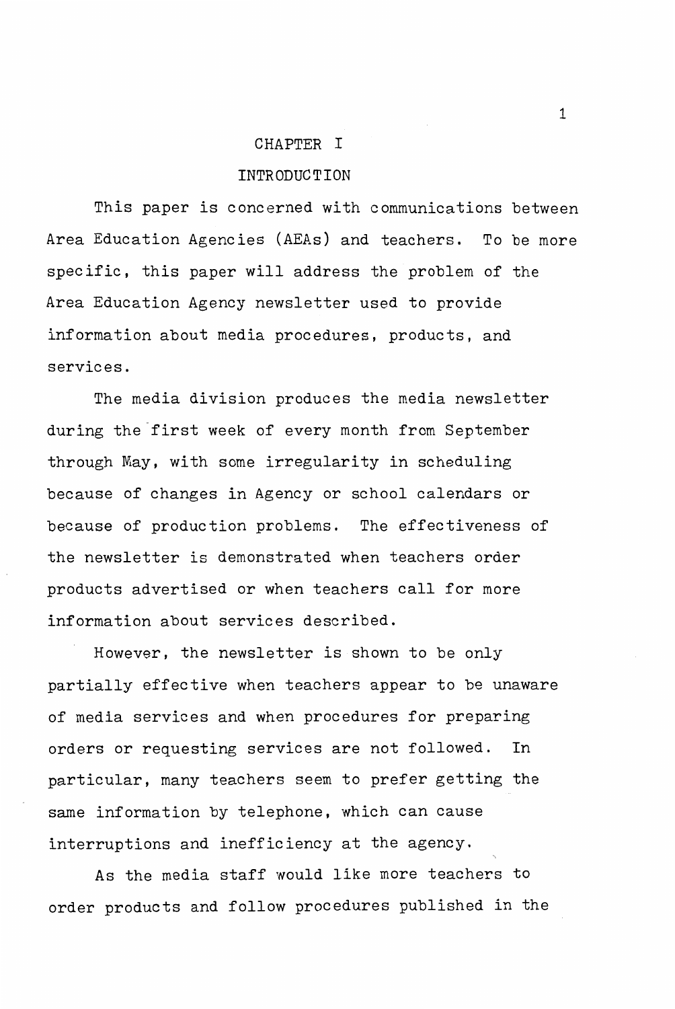#### CHAPTER I

#### INTRODUCTION

This paper is concerned with communications between Area Education Agencies (AEAs) and teachers. To be more specific, this paper will address the problem of the Area Education Agency newsletter used to provide information about media procedures, products, and services.

The media division produces the media newsletter during the first week of every month from September through May, with some irregularity in scheduling because of changes in Agency or school calendars or because of production problems. The effectiveness of the newsletter is demonstrated when teachers order products advertised or when teachers call for more information about services described.

However, the newsletter is shown to be only partially effective when teachers appear to be unaware of media services and when procedures for preparing orders or requesting services are not followed. In particular, many teachers seem to prefer getting the same information by telephone, which can cause interruptions and inefficiency at the agency.

As the media staff would like more teachers to order products and follow procedures published in the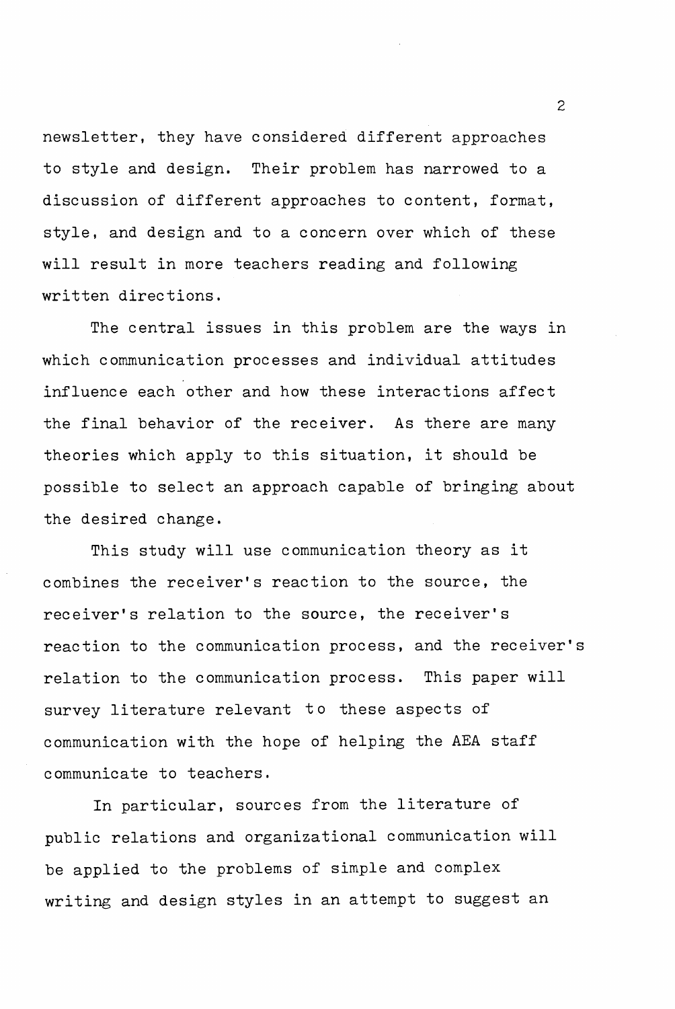newsletter, they have considered different approaches to style and design. Their problem has narrowed to a discussion of different approaches to content, format, style, and design and to a concern over which of these will result in more teachers reading and following written directions.

The central issues in this problem are the ways in which communication processes and individual attitudes influence each other and how these interactions affect the final behavior of the receiver. As there are many theories which apply to this situation, it should be possible to select an approach capable of bringing about the desired change.

This study will use communication theory as it combines the receiver's reaction to the source, the receiver's relation to the source, the receiver's reaction to the communication process, and the receiver's relation to the communication process. This paper will survey literature relevant to these aspects of communication with the hope of helping the AEA staff communicate to teachers.

In particular, sources from the literature of public relations and organizational communication will be applied to the problems of simple and complex writing and design styles in an attempt to suggest an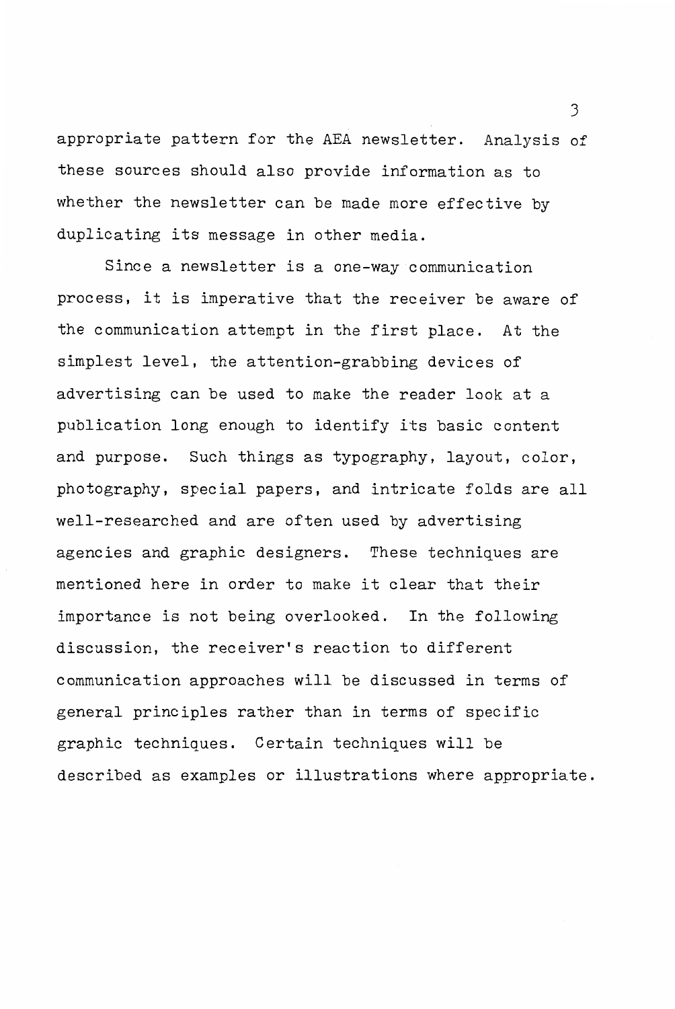appropriate pattern for the AEA newsletter. Analysis of these sources should also provide information as to whether the newsletter can be made more effective by duplicating its message in other media.

Since a newsletter is a one-way communication process, it is imperative that the receiver be aware of the communication attempt in the first place. At the simplest level, the attention-grabbing devices of advertising can be used to make the reader look at a publication long enough to identify its basic content and purpose. Such things as typography, layout, color, photography, special papers, and intricate folds are all well-researched and are often used by advertising agencies and graphic designers. These techniques are mentioned here in order to make it clear that their importance is not being overlooked. In the following discussion, the receiver's reaction to different communication approaches will be discussed in terms of general principles rather than in terms of specific graphic techniques. Certain techniques will be described as examples or illustrations where appropriate.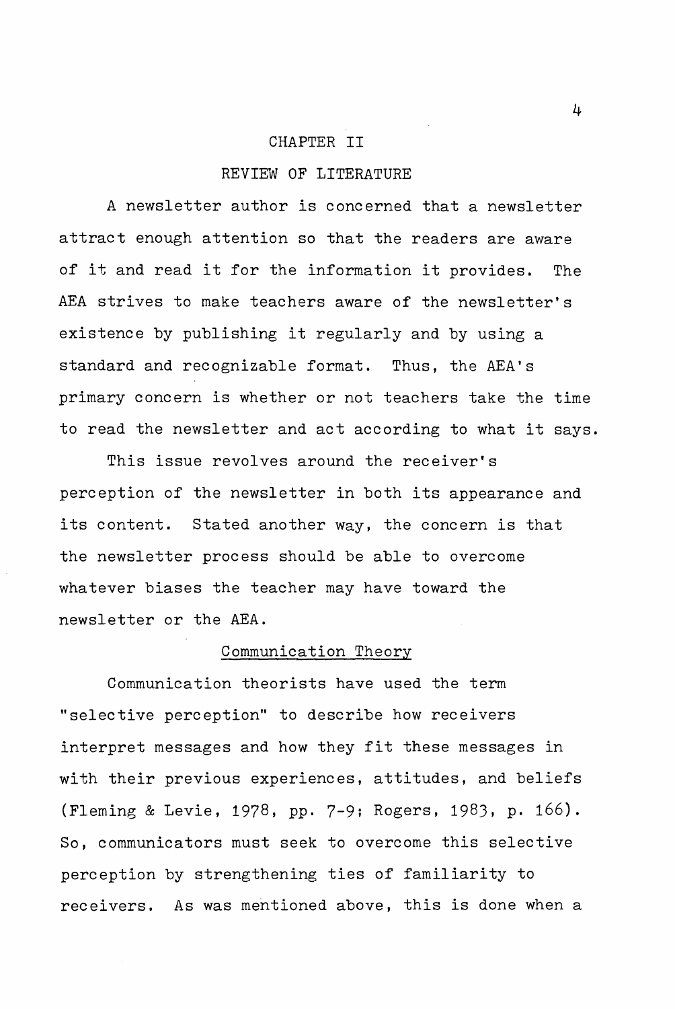#### CHAPTER II

#### REVIEW OF LITERATURE

A newsletter author is concerned that a newsletter attract enough attention so that the readers are aware of it and read it for the information it provides. The AEA strives to make teachers aware of the newsletter's existence by publishing it regularly and by using a standard and recognizable format. Thus, the AEA's primary concern is whether or not teachers take the time to read the newsletter and act according to what it says.

This issue revolves around the receiver's perception of the newsletter in both its appearance and its content. Stated another way, the concern is that the newsletter process should be able to overcome whatever biases the teacher may have toward the newsletter or the AEA.

### Communication Theory

Communication theorists have used the term "selective perception" to describe how receivers interpret messages and how they fit these messages in with their previous experiences, attitudes, and beliefs (Fleming & Levie, 1978, pp. 7-9; Rogers, 1983, p. 166). So, communicators must seek to overcome this selective perception by strengthening ties of familiarity to receivers. As was mentioned above, this is done when a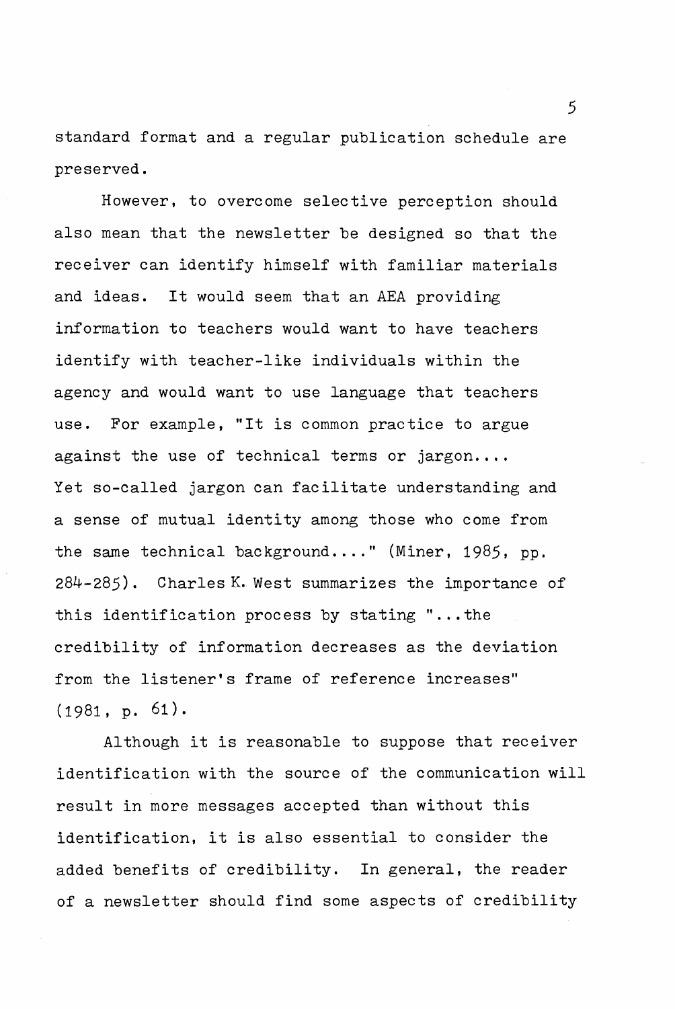standard format and a regular publication schedule are preserved.

However, to overcome selective perception should also mean that the newsletter be designed so that the receiver can identify himself with familiar materials and ideas. It would seem that an AEA providing information to teachers would want to have teachers identify with teacher-like individuals within the agency and would want to use language that teachers use. For example, "It is common practice to argue against the use of technical terms or jargon.... Yet so-called jargon can facilitate understanding and a sense of mutual identity among those who come from the same technical background...." (Miner, 1985, pp. 284-285). Charles K. West summarizes the importance of this identification process by stating  $"...$  the credibility of information decreases as the deviation from the listener's frame of reference increases" (1981, p. 61).

Although it is reasonable to suppose that receiver identification with the source of the communication will result in more messages accepted than without this identification, it is also essential to consider the added benefits of credibility. In general, the reader of a newsletter should find some aspects of credibility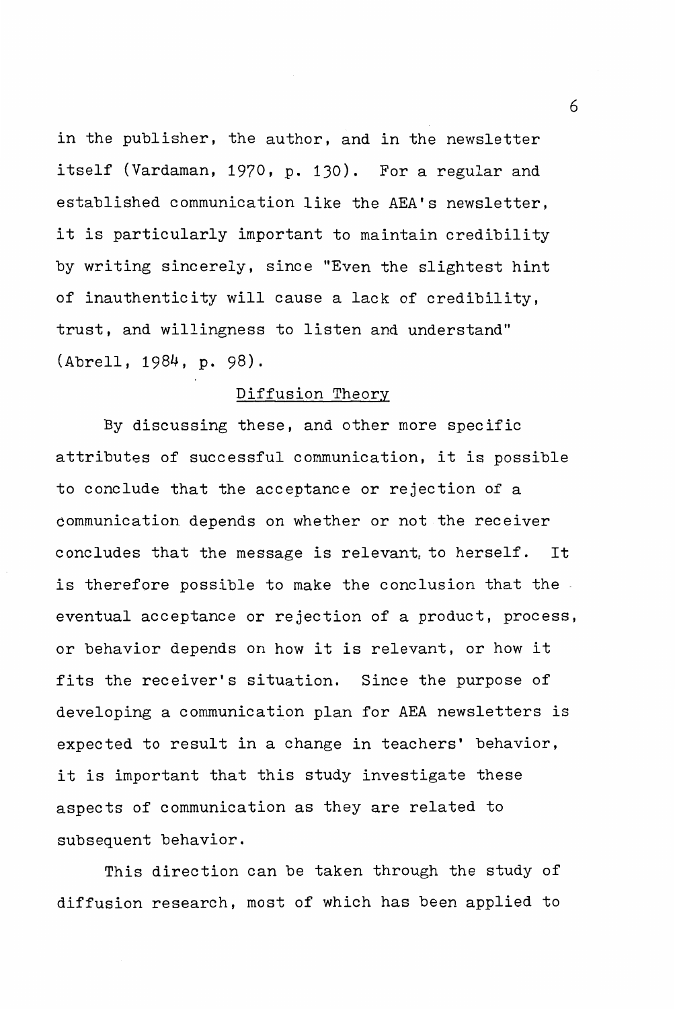in the publisher, the author, and in the newsletter itself (Vardaman, 1970, p. 130). For a regular and established communication like the AEA's newsletter, it is particularly important to maintain credibility by writing sincerely, since "Even the slightest hint of inauthenticity will cause a lack of credibility, trust, and willingness to listen and understand" (Abrell, 1984, p. 98).

#### Diffusion Theory

By discussing these, and other more specific attributes of successful communication, it is possible to conclude that the acceptance or rejection of a communication depends on whether or not the receiver concludes that the message is relevant, to herself. It is therefore possible to make the conclusion that the eventual acceptance or rejection of a product, process, or behavior depends on how it is relevant, or how it fits the receiver's situation. Since the purpose of developing a communication plan for AEA newsletters is expected to result in a change in teachers' behavior, it is important that this study investigate these aspects of communication as they are related to subsequent behavior.

This direction can be taken through the study of diffusion research, most of which has been applied to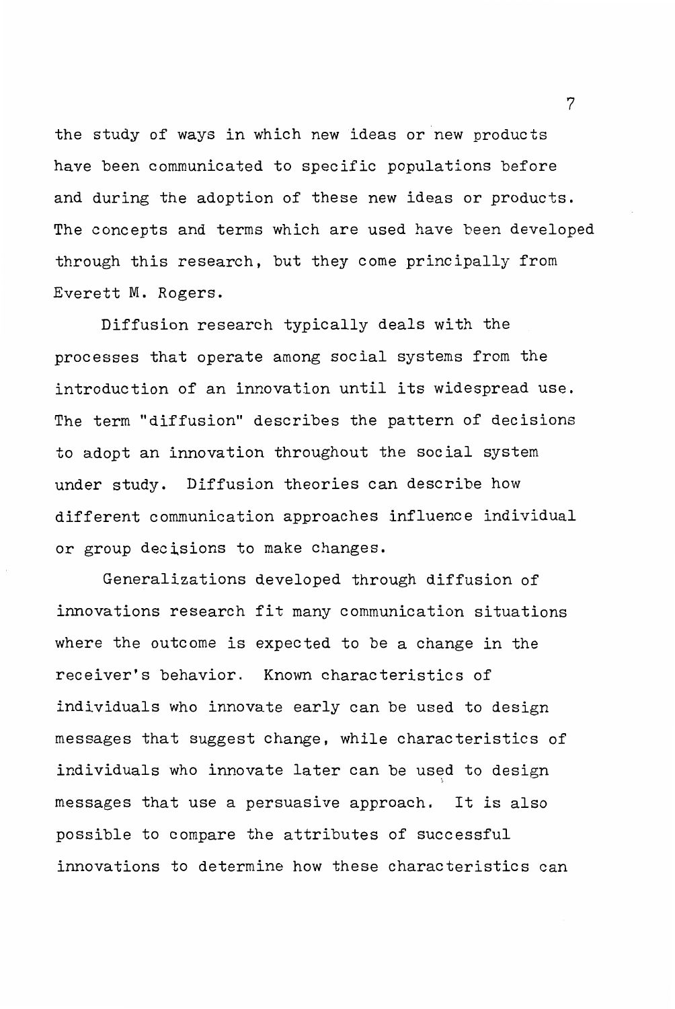the study of ways in which new ideas or new products have been communicated to specific populations before and during the adoption of these new ideas or products. The concepts and terms which are used have been developed through this research, but they come principally from Everett M. Rogers.

Diffusion research typically deals with the processes that operate among social systems from the introduction of an innovation until its widespread use. The term "diffusion" describes the pattern of decisions to adopt an innovation throughout the social system under study. Diffusion theories can describe how different communication approaches influence individual or group decisions to make changes.

Generalizations developed through diffusion of innovations research fit many communication situations where the outcome is expected to be a change in the receiver's behavior. Known characteristics of individuals who innovate early can be used to design messages that suggest change, while characteristics of individuals who innovate later can be used to design messages that use a persuasive approach. It is also possible to compare the attributes of successful innovations to determine how these characteristics can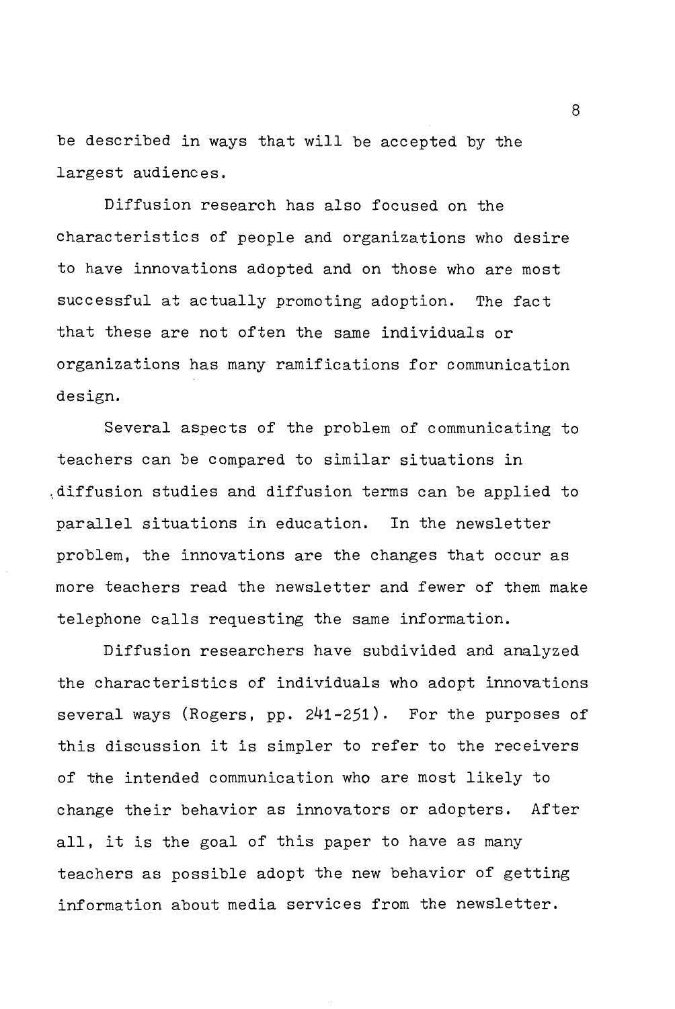be described in ways that will be accepted by the largest audiences.

Diffusion research has also focused on the characteristics of people and organizations who desire to have innovations adopted and on those who are most successful at actually promoting adoption. The fact that these are not often the same individuals or organizations has many ramifications for communication design.

Several aspects of the problem of communicating to teachers can be compared to similar situations in diffusion studies and diffusion terms can be applied to parallel situations in education. In the newsletter problem, the innovations are the changes that occur as more teachers read the newsletter and fewer of them make telephone calls requesting the same information.

Diffusion researchers have subdivided and analyzed the characteristics of individuals who adopt innovations several ways (Rogers, pp. 241-251). For the purposes of this discussion it is simpler to refer to the receivers of the intended communication who are most likely to change their behavior as innovators or adopters. After all, it is the goal of this paper to have as many teachers as possible adopt the new behavior of getting information about media services from the newsletter.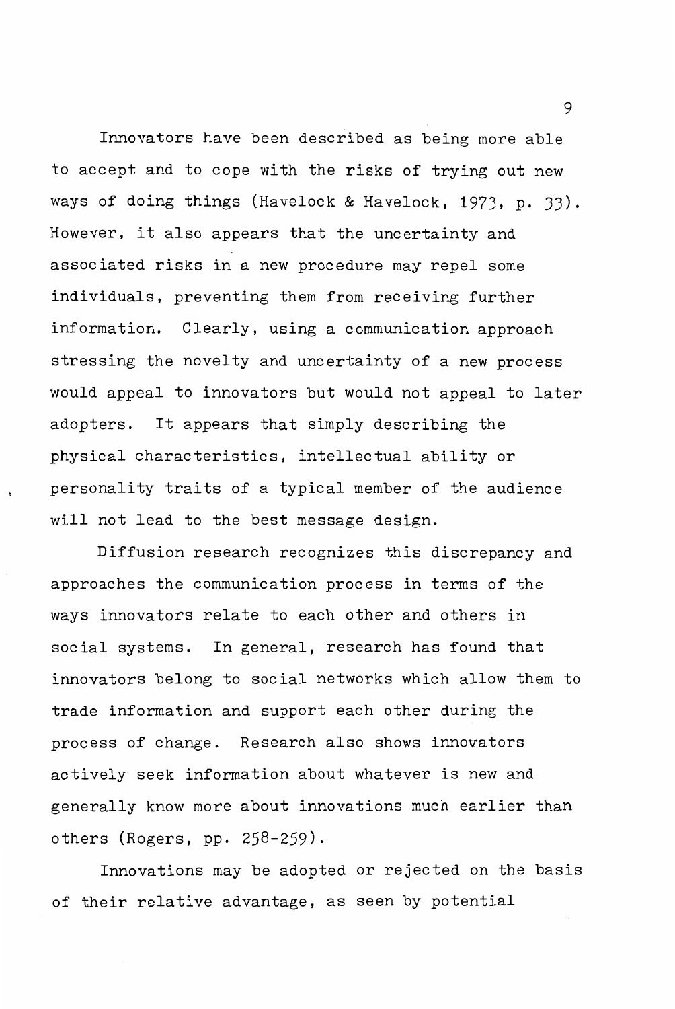Innovators have been described as being more able to accept and to cope with the risks of trying out new ways of doing things (Havelock & Havelock, 1973, p. JJ). However, it also appears that the uncertainty and associated risks in a new procedure may repel some individuals, preventing them from receiving further information. Clearly, using a communication approach stressing the novelty and uncertainty of a new process would appeal to innovators but would not appeal to later adopters. It appears that simply describing the physical characteristics, intellectual ability or personality traits of a typical member of the audience will not lead to the best message design.

Diffusion research recognizes this discrepancy and approaches the communication process in terms of the ways innovators relate to each other and others in social systems. In general, research has found that innovators belong to social networks which allow them to trade information and support each other during the process of change. Research also shows innovators actively· seek information about whatever is new and generally know more about innovations much earlier than others (Rogers, pp. 258-259).

Innovations may be adopted or rejected on the basis of their relative advantage, as seen by potential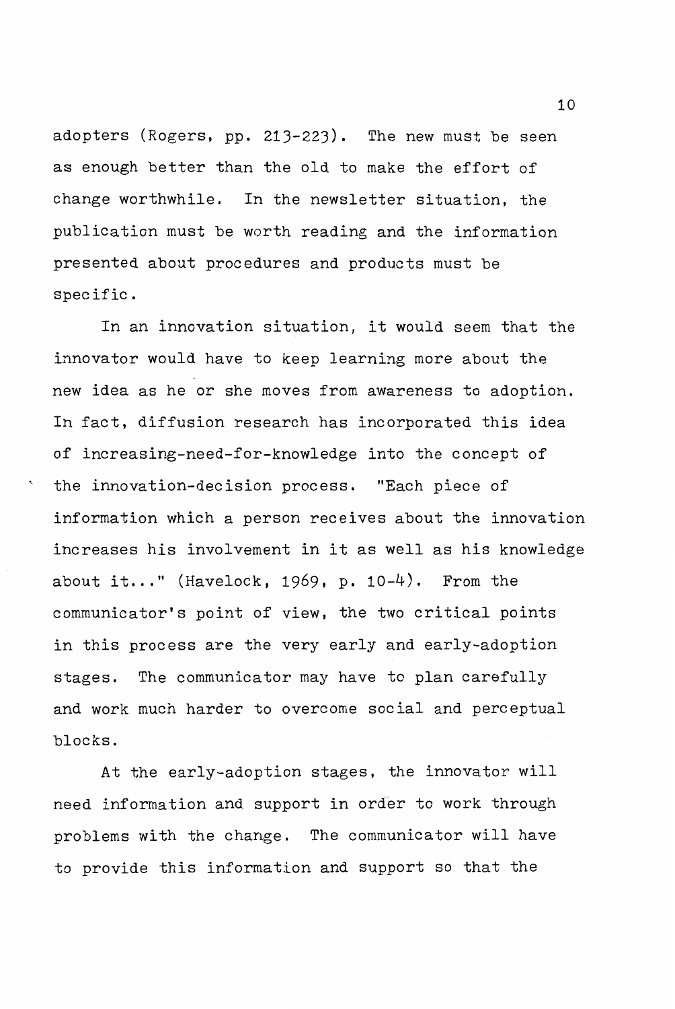adopters (Rogers, pp. 213-223). The new must be seen as enough better than the old to make the effort of change worthwhile. In the newsletter situation, the publication must be worth reading and the information presented about procedures and products must be specific.

In an innovation situation, it would seem that the innovator would have to keep learning more about the new idea as he or she moves from awareness to adoption. In fact, diffusion research has incorporated this idea of increasing-need-for-knowledge into the concept of the innovation-decision process. "Each piece of information which a person receives about the innovation increases his involvement in it as well as his knowledge about  $it...$  (Havelock, 1969, p. 10-4). From the communicator's point of view, the two critical points in this process are the very early and early-adoption stages. The communicator may have to plan carefully and work much harder to overcome social and perceptual blocks.

At the early-adoption stages, the innovator will need information and support in order to work through problems with the change. The communicator will have to provide this information and support so that the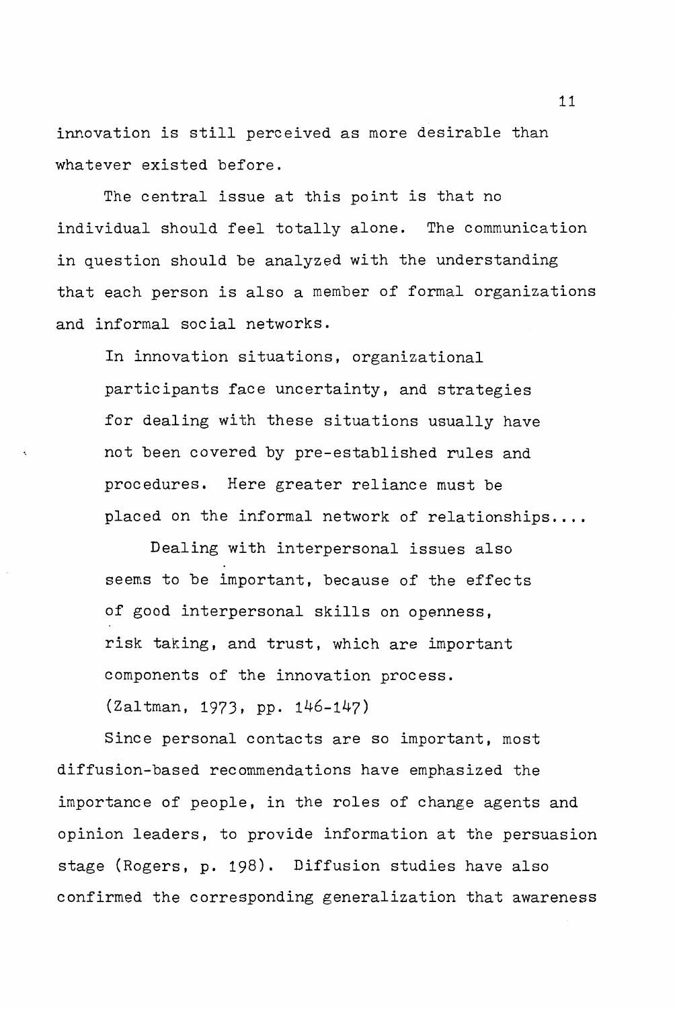innovation is still perceived as more desirable than whatever existed before.

The central issue at this point is that no individual should feel totally alone. The communication in question should be analyzed with the understanding that each person is also a member of formal organizations and informal social networks.

In innovation situations, organizational participants face uncertainty, and strategies for dealing with these situations usually have not been covered by pre-established rules and procedures. Here greater reliance must be placed on the informal network of relationships....

Dealing with interpersonal issues also seems to be important, because of the effects of good interpersonal skills on openness, risk taking, and trust, which are important components of the innovation process.

(Zaltman, 1973, pp. 146-147)

Since personal contacts are so important, most diffusion-based recommendations have emphasized the importance of people, in the roles of change agents and opinion leaders, to provide information at the persuasion stage (Rogers, p. 198). Diffusion studies have also confirmed the corresponding generalization that awareness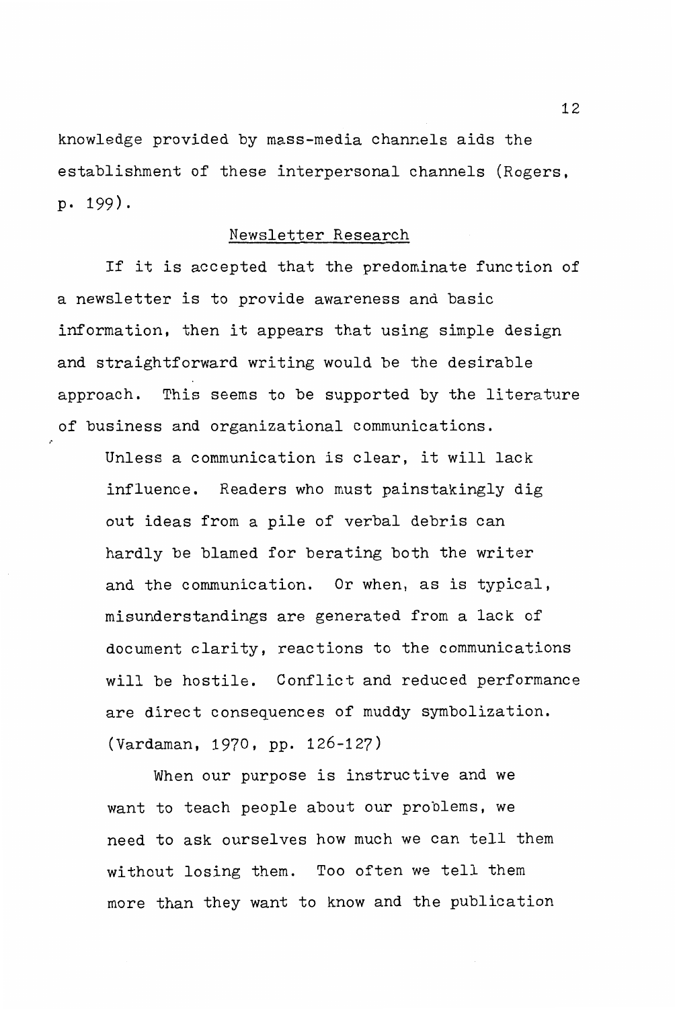knowledge provided by mass-media channels aids the establishment of these interpersonal channels (Rogers, p. 199) .

#### Newsletter Research

If it is accepted that the predominate function of a newsletter is to provide awareness and basic information, then it appears that using simple design and straightforward writing would be the desirable approach. This seems to be supported by the literature of business and organizational communications.

Unless a communication is clear, it will lack influence. Readers who must painstakingly dig out ideas from a pile of verbal debris can hardly be blamed for berating both the writer and the communication. Or when, as is typical, misunderstandings are generated from a lack of document clarity, reactions to the communications will be hostile. Conflict and reduced performance are direct consequences of muddy symbolization. (Vardaman, 1970, pp. 126-127)

When our purpose is instructive and we want to teach people about our problems, we need to ask ourselves how much we can tell them without losing them. Too often we tell them more than they want to know and the publication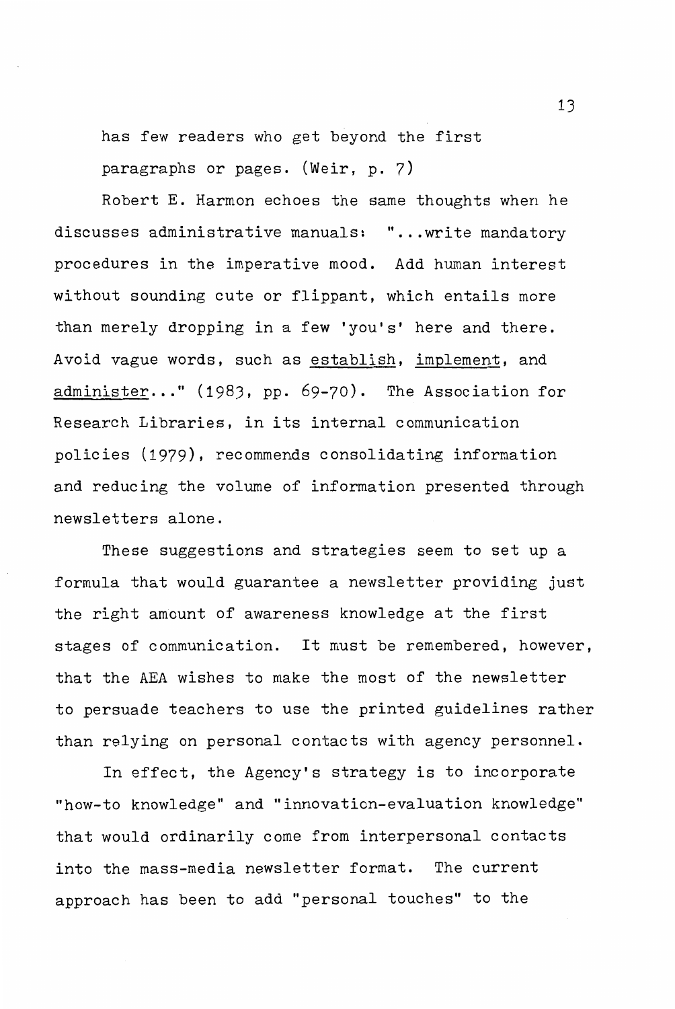has few readers who get beyond the first paragraphs or pages. (Weir, p. 7)

Robert E. Harmon echoes the same thoughts when he discusses administrative manuals: " ... write mandatory procedures in the imperative mood. Add human interest without sounding cute or flippant, which entails more than merely dropping in a few 'you's' here and there. Avoid vague words, such as establish, implement, and administer..." (1983, pp. 69-70). The Association for Research Libraries, in its internal communication policies (1979), recommends consolidating information and reducing the volume of information presented through newsletters alone.

These suggestions and strategies seem to set up a formula that would guarantee a newsletter providing just the right amount of awareness knowledge at the first stages of communication. It must be remembered, however, that the AEA wishes to make the most of the newsletter to persuade teachers to use the printed guidelines rather than relying on personal contacts with agency personnel.

In effect, the Agency's strategy is to incorporate "how-to knowledge" and "innovation-evaluation knowledge" that would ordinarily come from interpersonal contacts into the mass-media newsletter format. The current approach has been to add "personal touches" to the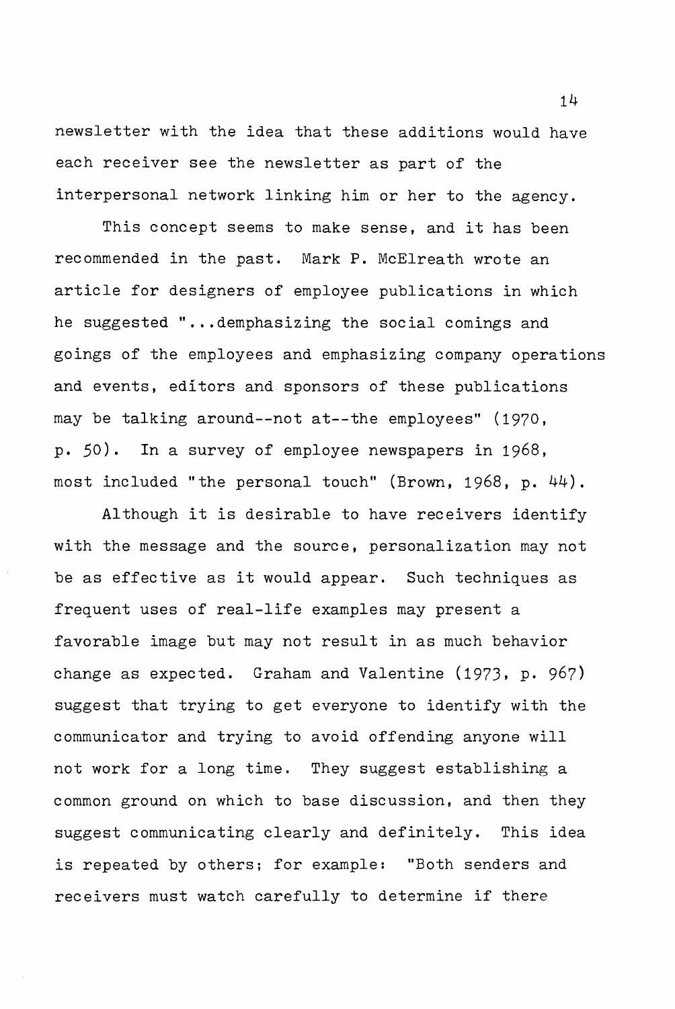newsletter with the idea that these additions would have each receiver see the newsletter as part of the interpersonal network linking him or her to the agency.

This concept seems to make sense, and it has been recommended in the past. Mark P. McElreath wrote an article for designers of employee publications in which he suggested " ... demphasizing the social comings and goings of the employees and emphasizing company operations and events, editors and sponsors of these publications may be talking around--not at--the employees" (1970, p. 50). In a survey of employee newspapers in 1968, most included "the personal touch" (Brown, 1968, p. 44).

Although it is desirable to have receivers identify with the message and the source, personalization may not be as effective as it would appear. Such techniques as frequent uses of real-life examples may present a favorable image but may not result in as much behavior change as expected. Graham and Valentine (1973, p. 967) suggest that trying to get everyone to identify with the communicator and trying to avoid offending anyone will not work for a long time. They suggest establishing a common ground on which to base discussion, and then they suggest communicating clearly and definitely. This idea is repeated by others; for example: "Both senders and receivers must watch carefully to determine if there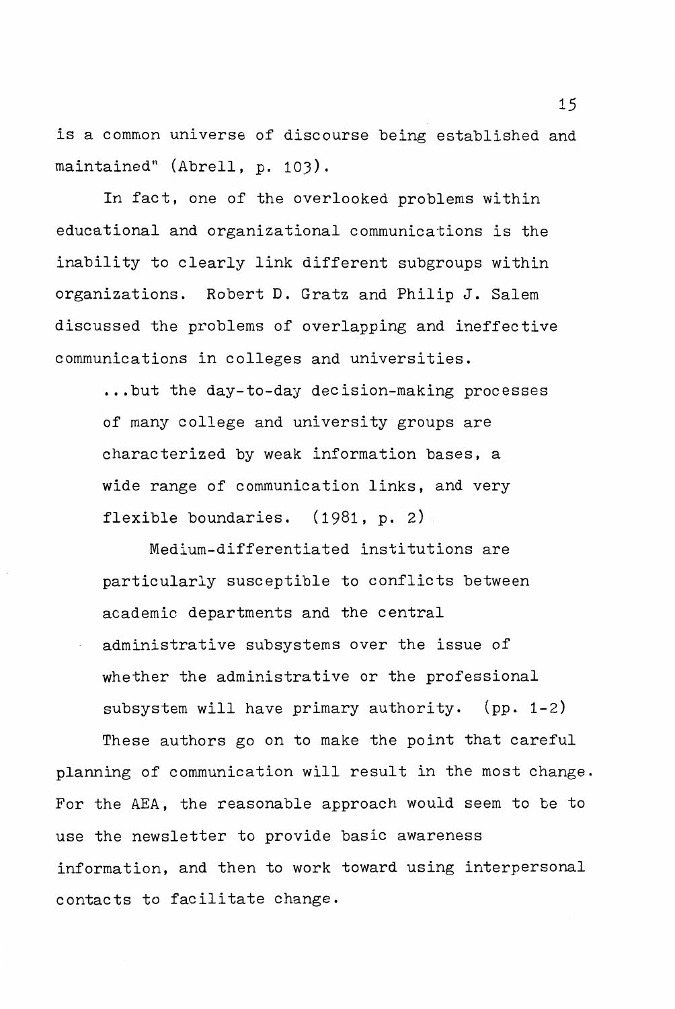is a common universe of discourse being established and maintained" (Abrell, p. 103).

In fact, one of the overlooked problems within educational and organizational communications is the inability to clearly link different subgroups within organizations. Robert D. Gratz and Philip J. Salem discussed the problems of overlapping and ineffective communications in colleges and universities .

... but the day-to-day decision-making processes of many college and university groups are characterized by weak information bases, a wide range of communication links, and very flexible boundaries. (1981, p. 2)

Medium-differentiated institutions are particularly susceptible to conflicts between academic departments and the central administrative subsystems over the issue of whether the administrative or the professional subsystem will have primary authority. (pp. 1-2)

These authors go on to make the point that careful planning of communication will result in the most change. For the AEA, the reasonable approach would seem to be to use the newsletter to provide basic awareness information, and then to work toward using interpersonal contacts to facilitate change.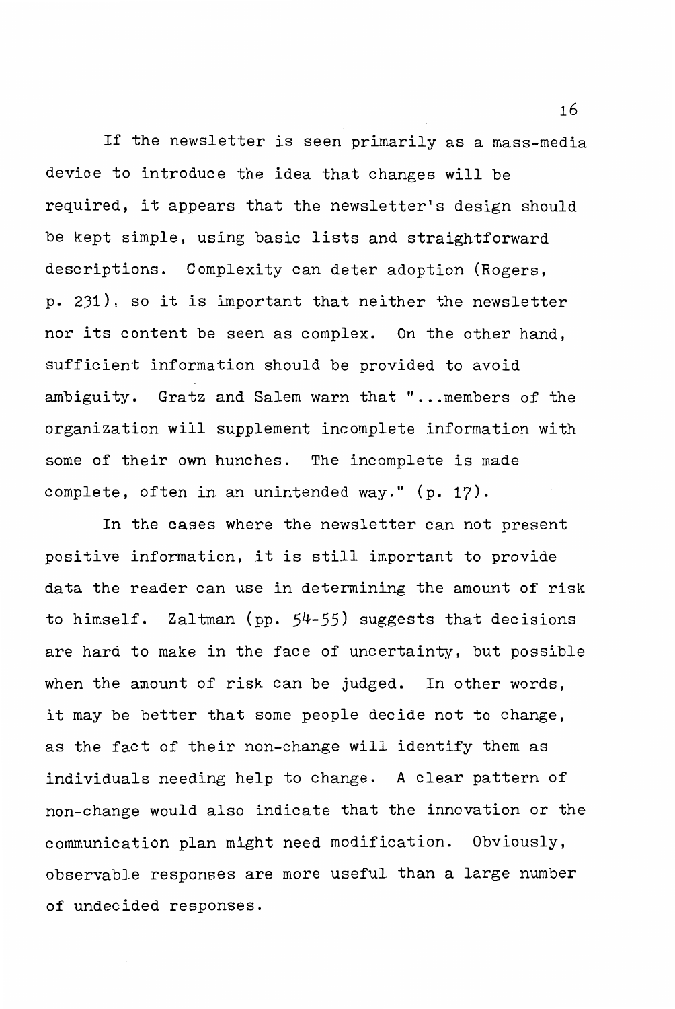If the newsletter is seen primarily as a mass-media device to introduce the idea that changes will be required, it appears that the newsletter's design should be kept simple, using basic lists and straightforward descriptions. Complexity can deter adoption (Rogers, p. 231), so it is important that neither the newsletter nor its content be seen as complex. On the other hand, sufficient information should be provided to avoid ambiguity. Gratz and Salem warn that "... members of the organization will supplement incomplete information with some of their own hunches. The incomplete is made complete, often in an unintended way." (p. 17).

In the cases where the newsletter can not present positive information, it is still important to provide data the reader can use in determining the amount of risk to himself. Zaltman (pp. 54-55) suggests that decisions are hard to make in the face of uncertainty, but possible when the amount of risk can be judged. In other words, it may be better that some people decide not to change, as the fact of their non-change will identify them as individuals needing help to change. A clear pattern of non-change would also indicate that the innovation or the communication plan might need modification. Obviously, observable responses are more useful than a large number of undecided responses.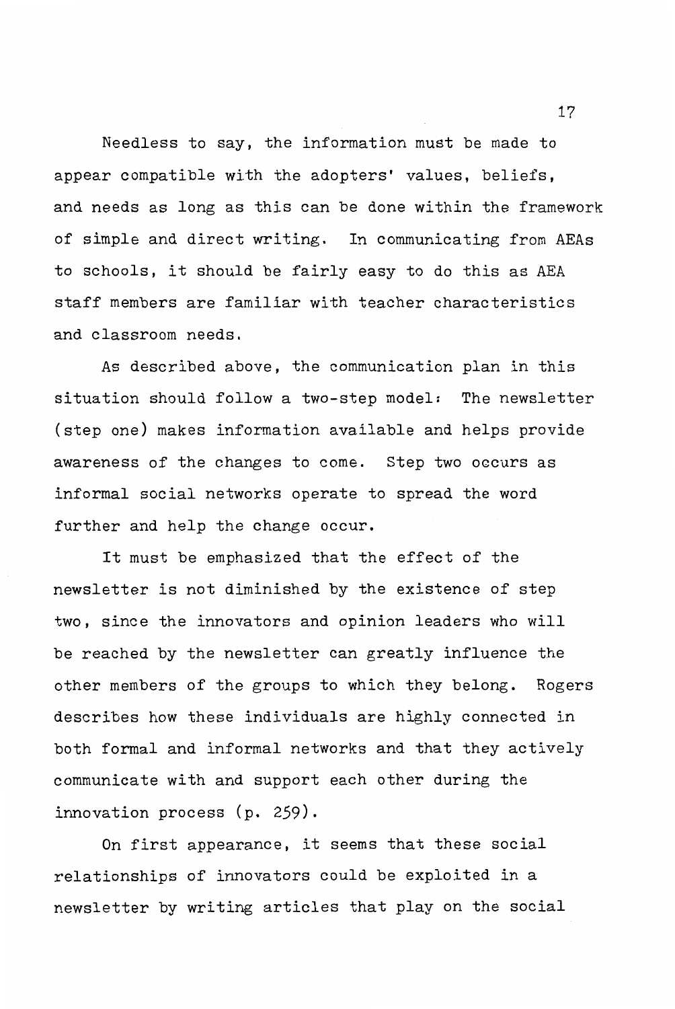Needless to say, the information must be made to appear compatible with the adopters' values, beliefs, and needs as long as this can be done within the framework of simple and direct writing. In communicating from AEAs to schools, it should be fairly easy to do this as AEA staff members are familiar with teacher characteristics and classroom needs.

As described above, the communication plan in this situation should follow a two-step model: The newsletter (step one) makes information available and helps provide awareness of the changes to come. Step two occurs as informal social networks operate to spread the word further and help the change occur.

It must be emphasized that the effect of the newsletter is not diminished by the existence of step two, since the innovators and opinion leaders who will be reached by the newsletter can greatly influence the other members of the groups to which they belong. Rogers describes how these individuals are highly connected in both formal and informal networks and that they actively communicate with and support each other during the innovation process (p. 259).

On first appearance, it seems that these social relationships of innovators could be exploited in a newsletter by writing articles that play on the social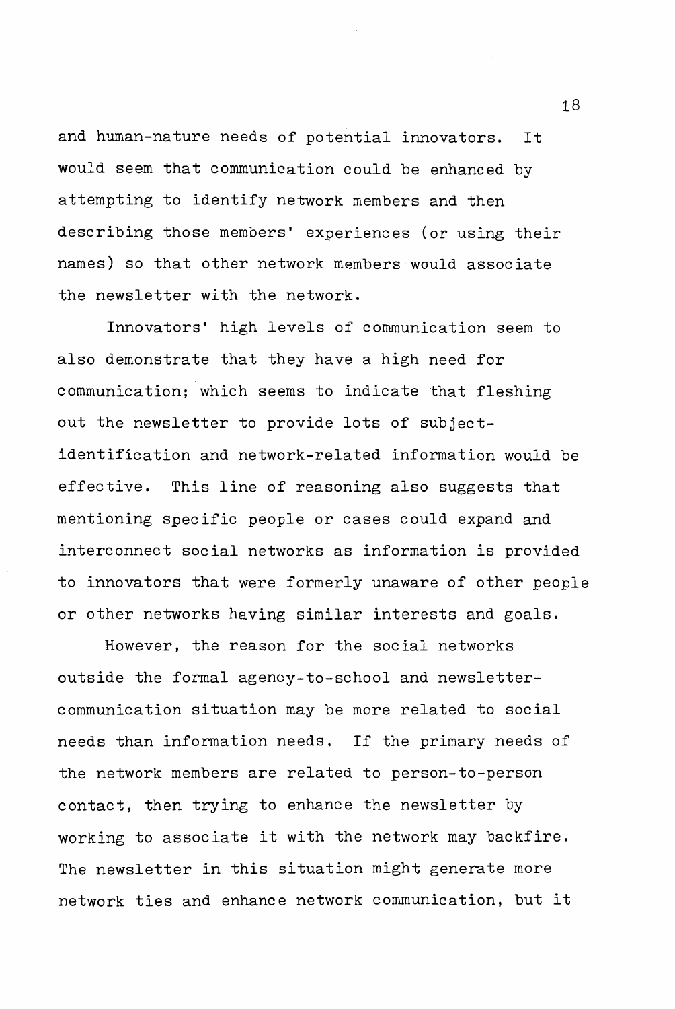and human-nature needs of potential innovators. It would seem that communication could be enhanced by attempting to identify network members and then describing those members' experiences (or using their names) so that other network members would associate the newsletter with the network.

Innovators' high levels of communication seem to also demonstrate that they have a high need for communication; which seems to indicate that fleshing out the newsletter to provide lots of subjectidentification and network-related information would be effective. This line of reasoning also suggests that mentioning specific people or cases could expand and interconnect social networks as information is provided to innovators that were formerly unaware of other people or other networks having similar interests and goals.

However, the reason for the social networks outside the formal agency-to-school and newslettercommunication situation may be more related to social needs than information needs. If the primary needs of the network members are related to person-to-person contact, then trying to enhance the newsletter by working to associate it with the network may backfire. The newsletter in this situation might generate more network ties and enhance network communication, but it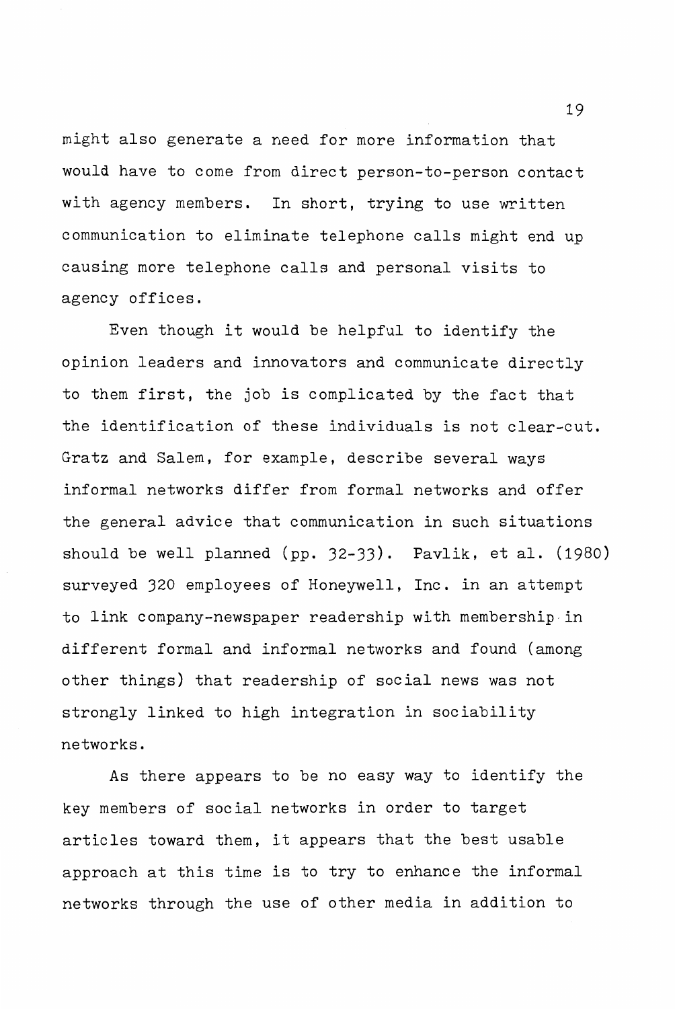might also generate a need for more information that would have to come from direct person-to-person contact with agency members. In short, trying to use written communication to eliminate telephone calls might end up causing more telephone calls and personal visits to agency offices.

Even though it would be helpful to identify the opinion leaders and innovators and communicate directly to them first, the job is complicated by the fact that the identification of these individuals is not clear-cut. Gratz and Salem, for example, describe several ways informal networks differ from formal networks and offer the general advice that communication in such situations should be well planned (pp. 32-33). Pavlik, et al. (1980) surveyed 320 employees of Honeywell, Inc. in an attempt to link company-newspaper readership with membership in different formal and informal networks and found (among other things) that readership of social news was not strongly linked to high integration in sociability networks.

As there appears to be no easy way to identify the key members of social networks in order to target articles toward them, it appears that the best usable approach at this time is to try to enhance the informal networks through the use of other media in addition to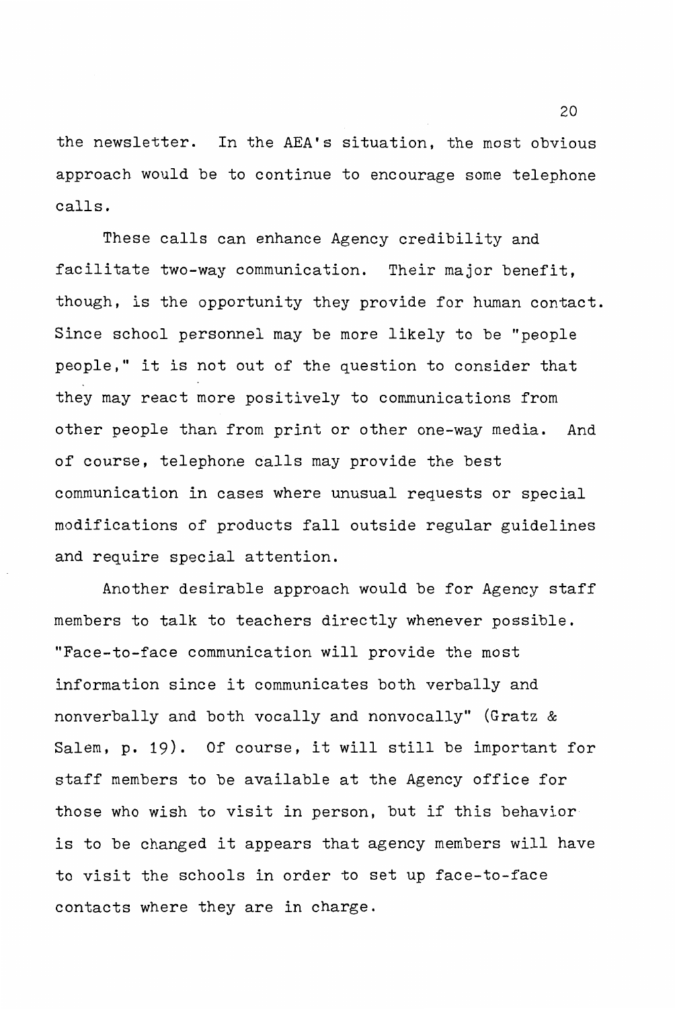the newsletter. In the AEA's situation, the most obvious approach would be to continue to encourage some telephone calls.

These calls can enhance Agency credibility and facilitate two-way communication. Their major benefit, though, is the opportunity they provide for human contact. Since school personnel may be more likely to be "people people," it is not out of the question to consider that they may react more positively to communications from other people than from print or other one-way media. And of course, telephone calls may provide the best communication in cases where unusual requests or special modifications of products fall outside regular guidelines and require special attention.

Another desirable approach would be for Agency staff members to talk to teachers directly whenever possible. "Face-to-face communication will provide the most information since it communicates both verbally and nonverbally and both vocally and nonvocally'' (Gratz & Salem, p. 19). Of course, it will still be important for staff members to be available at the Agency office for those who wish to visit in person, but if this behavior is to be changed it appears that agency members will have to visit the schools in order to set up face-to-face contacts where they are in charge.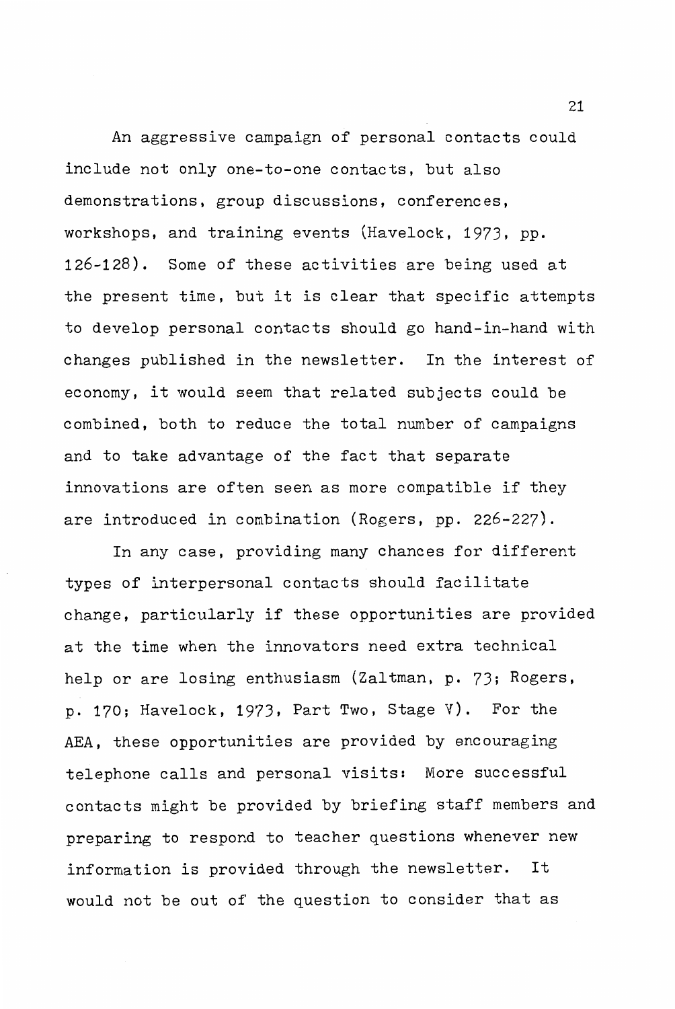An aggressive campaign of personal contacts could include not only one-to-one contacts, but also demonstrations, group discussions, conferences, workshops, and training events (Havelock, 1973, pp. 126-128). Some of these activities are being used at the present time, but it is clear that specific attempts to develop personal contacts should go hand-in-hand with changes published in the newsletter. In the interest of economy, it would seem that related subjects could be combined, both to reduce the total number of campaigns and to take advantage of the fact that separate innovations are often seen as more compatible if they are introduced in combination (Rogers, pp. 226-227).

In any case, providing many chances for different types of interpersonal contacts should facilitate change, particularly if these opportunities are provided at the time when the innovators need extra technical help or are losing enthusiasm (Zaltman, p. 73; Rogers, p. 170; Havelock, 1973, Part Two, Stage V). For the AEA, these opportunities are provided by encouraging telephone calls and personal visits: More successful contacts might be provided by briefing staff members and preparing to respond to teacher questions whenever new information is provided through the newsletter. It would not be out of the question to consider that as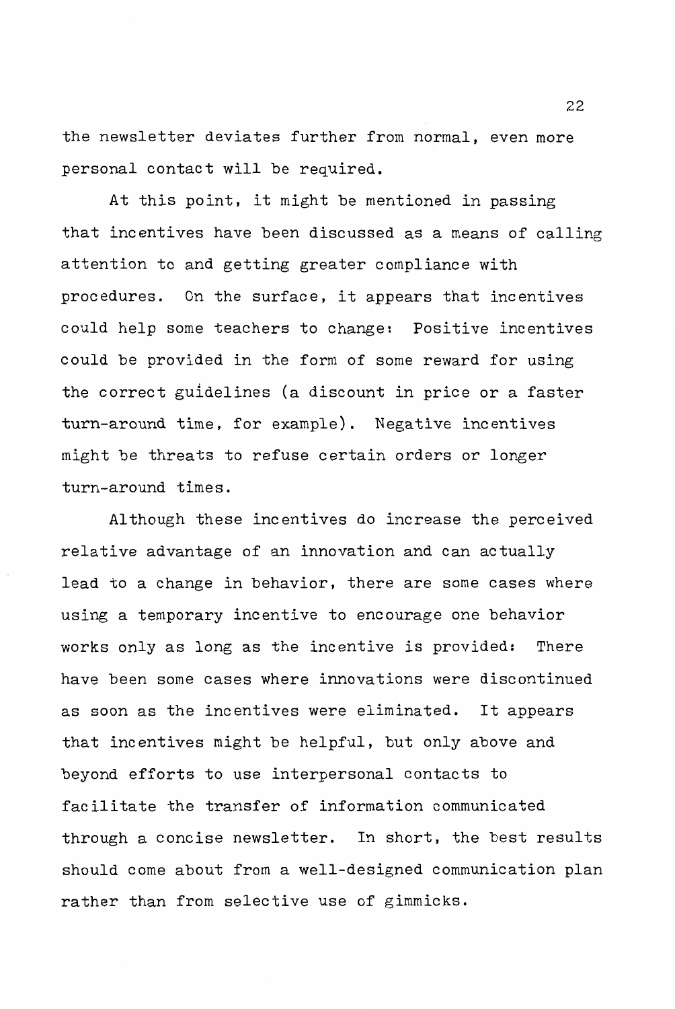the newsletter deviates further from normal, even more personal contact will be required.

At this point, it might be mentioned in passing that incentives have been discussed as a means of calling attention to and getting greater compliance with procedures. On the surface, it appears that incentives could help some teachers to change: Positive incentives could be provided in the form of some reward for using the correct guidelines (a discount in price or a faster turn-around time, for example). Negative incentives might be threats to refuse certain orders or longer turn-around times.

Although these incentives do increase the perceived relative advantage of an innovation and can actually lead to a change in behavior, there are some cases where using a temporary incentive to encourage one behavior works only as long as the incentive is provided: There have been some cases where innovations were discontinued as soon as the incentives were eliminated. It appears that incentives might be helpful, but only above and beyond efforts to use interpersonal contacts to facilitate the transfer of information communicated through a concise newsletter. In short, the best results should come about from a well-designed communication plan rather than from selective use of gimmicks.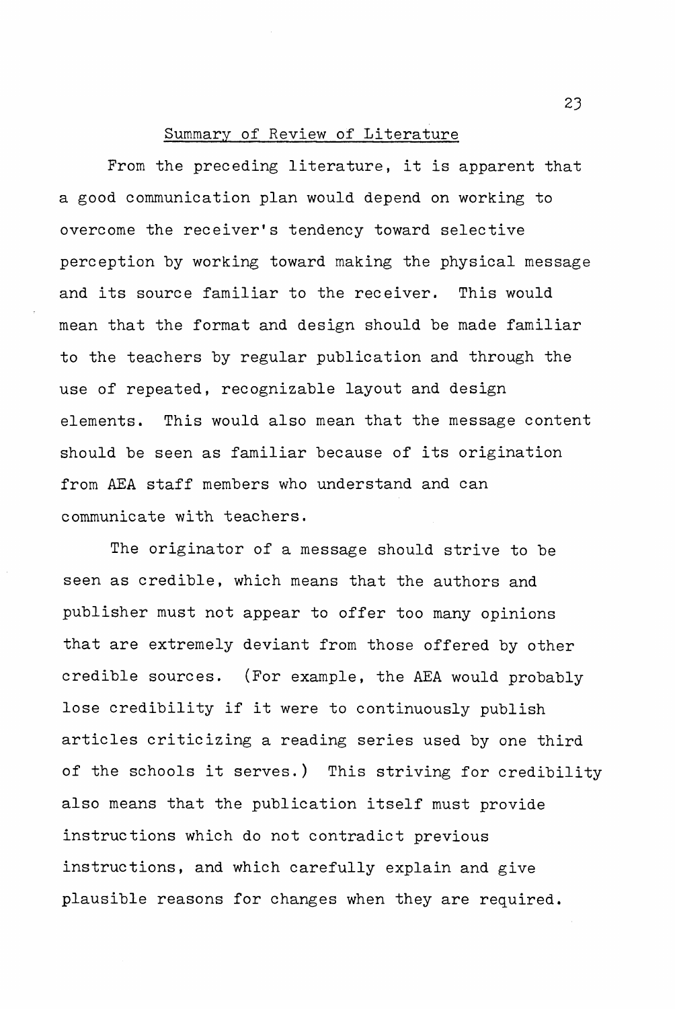#### Summary of Review of Literature

From the preceding literature, it is apparent that a good communication plan would depend on working to overcome the receiver's tendency toward selective perception by working toward making the physical message and its source familiar to the receiver. This would mean that the format and design should be made familiar to the teachers by regular publication and through the use of repeated, recognizable layout and design elements. This would also mean that the message content should be seen as familiar because of its origination from AEA staff members who understand and can communicate with teachers.

The originator of a message should strive to be seen as credible, which means that the authors and publisher must not appear to offer too many opinions that are extremely deviant from those offered by other credible sources. (For example, the AEA would probably lose credibility if it were to continuously publish articles criticizing a reading series used by one third of the schools it serves.) This striving for credibility also means that the publication itself must provide instructions which do not contradict previous instructions, and which carefully explain and give plausible reasons for changes when they are required.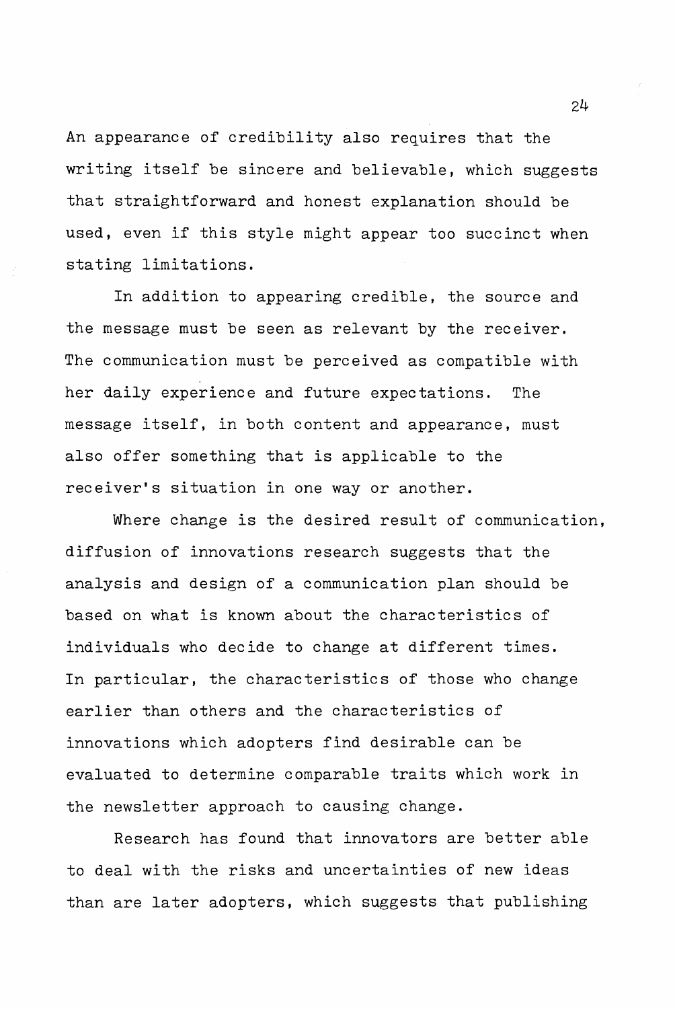An appearance of credibility also requires that the writing itself be sincere and believable, which suggests that straightforward and honest explanation should be used, even if this style might appear too succinct when stating limitations.

In addition to appearing credible, the source and the message must be seen as relevant by the receiver. The communication must be perceived as compatible with her daily experience and future expectations. The message itself, in both content and appearance, must also offer something that is applicable to the receiver's situation in one way or another.

Where change is the desired result of communication, diffusion of innovations research suggests that the analysis and design of a communication plan should be based on what is known about the characteristics of individuals who decide to change at different times. In particular, the characteristics of those who change earlier than others and the characteristics of innovations which adopters find desirable can be evaluated to determine comparable traits which work in the newsletter approach to causing change.

Research has found that innovators are better able to deal with the risks and uncertainties of new ideas than are later adopters, which suggests that publishing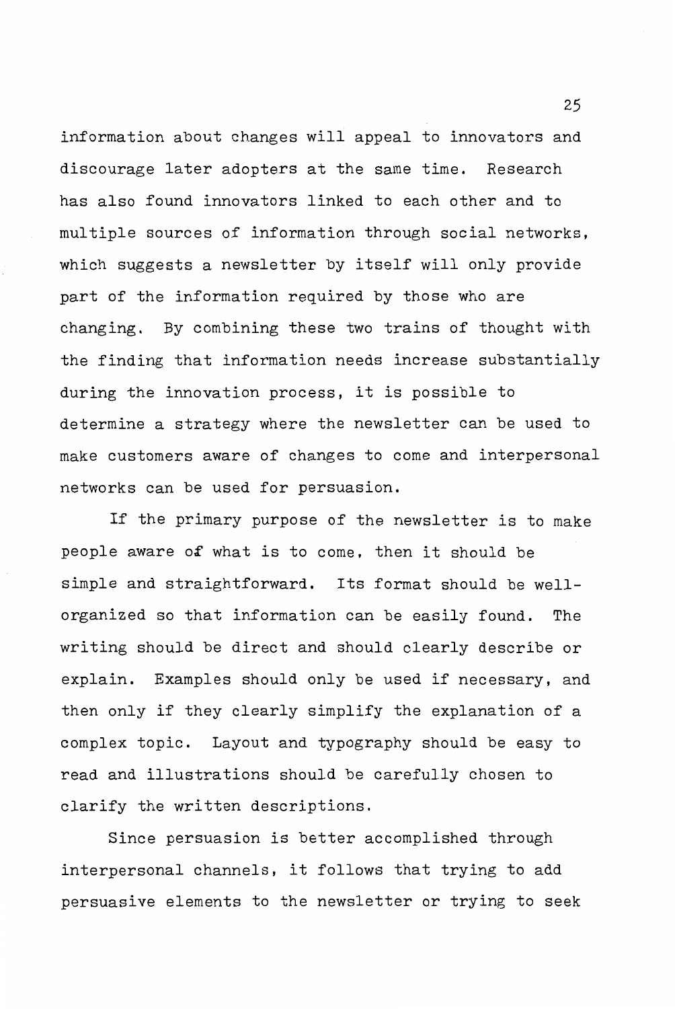information about changes will appeal to innovators and discourage later adopters at the same time. Research has also found innovators linked to each other and to multiple sources of information through social networks, which suggests a newsletter by itself will only provide part of the information required by those who are changing. By combining these two trains of thought with the finding that information needs increase substantially during the innovation process, it is possible to determine a strategy where the newsletter can be used to make customers aware of changes to come and interpersonal networks can be used for persuasion.

If the primary purpose of the newsletter is to make people aware 0£ what is to come, then it should be simple and straightforward. Its format should be wellorganized so that information can be easily found. The writing should be direct and should clearly describe or explain. Examples should only be used if necessary, and then only if they clearly simplify the explanation of a complex topic. Layout and typography should be easy to read and illustrations should be carefully chosen to clarify the written descriptions.

Since persuasion is better accomplished through interpersonal channels, it follows that trying to add persuasive elements to the newsletter or trying to seek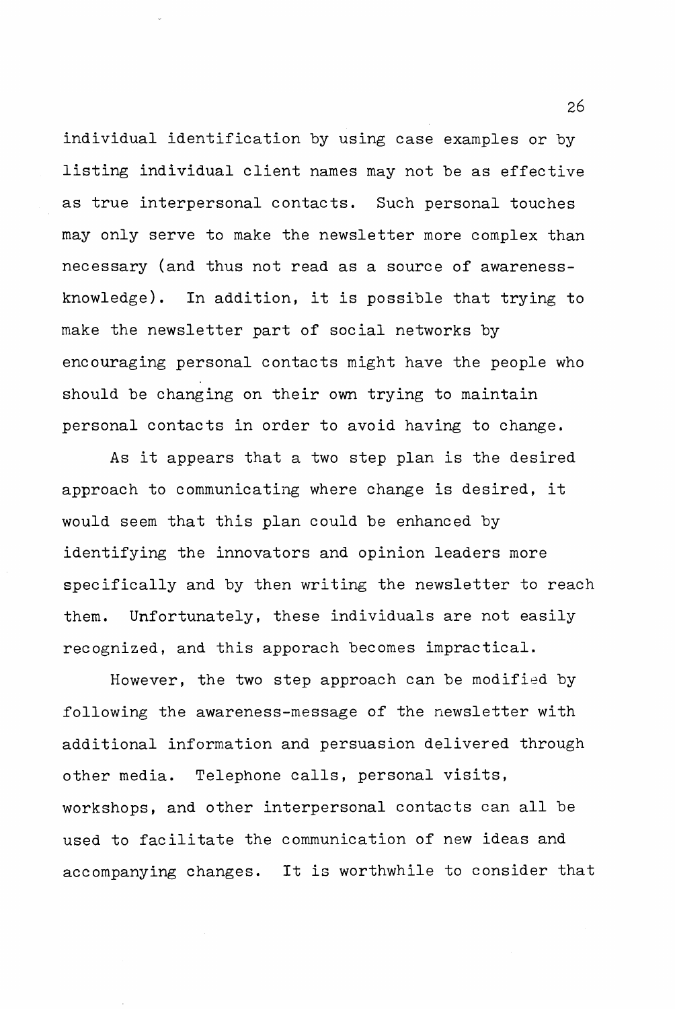individual identification by using case examples or by listing individual client names may not be as effective as true interpersonal contacts. Such personal touches may only serve to make the newsletter more complex than necessary (and thus not read as a source of awarenessknowledge). In addition, it is possible that trying to make the newsletter part of social networks by encouraging personal contacts might have the people who should be changing on their own trying to maintain personal contacts in order to avoid having to change.

As it appears that a two step plan is the desired approach to communicating where change is desired, it would seem that this plan could be enhanced by identifying the innovators and opinion leaders more specifically and by then writing the newsletter to reach them. Unfortunately, these individuals are not easily recognized, and this apporach becomes impractical.

However, the two step approach can be modified by following the awareness-message of the newsletter with additional information and persuasion delivered through other media. Telephone calls, personal visits, workshops, and other interpersonal contacts can all be used to facilitate the communication of new ideas and accompanying changes. It is worthwhile to consider that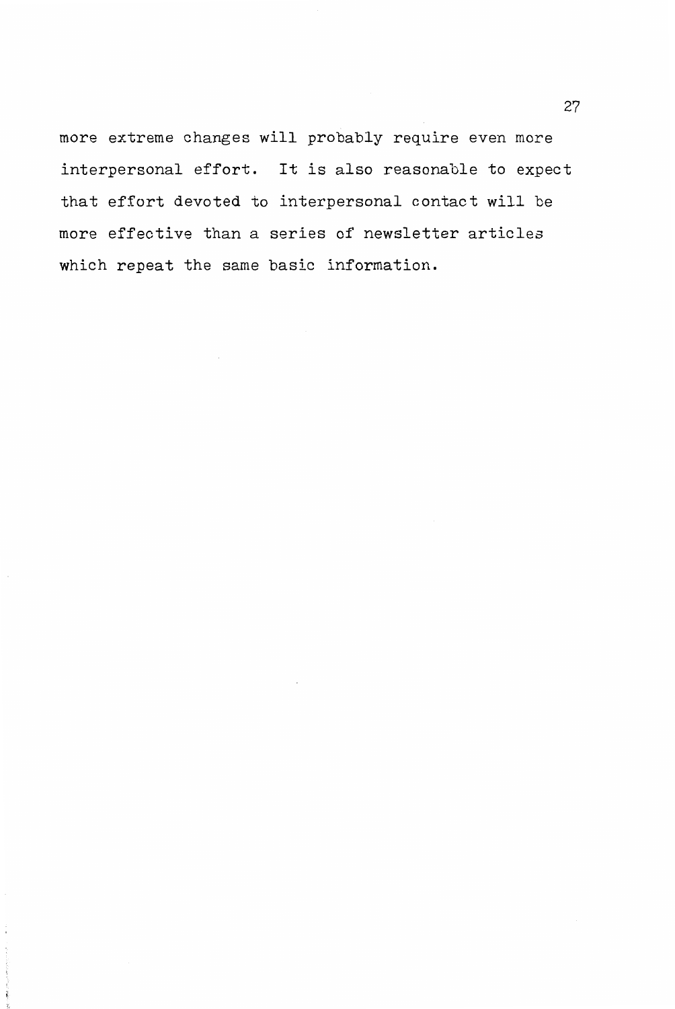more extreme changes will probably require even more interpersonal effort. It is also reasonable to expect that effort devoted to interpersonal contact will be more effective than a series of newsletter articles which repeat the same basic information.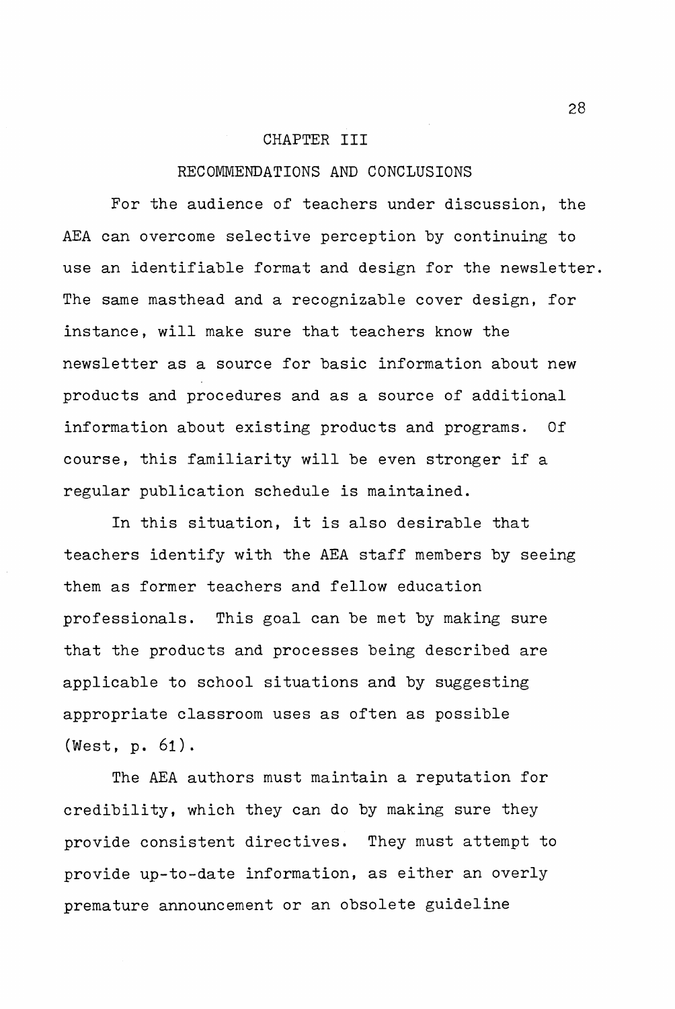#### CHAPTER III

# RECOMMENDATIONS AND CONCLUSIONS

For the audience of teachers under discussion, the AEA can overcome selective perception by continuing to use an identifiable format and design for the newsletter. The same masthead and a recognizable cover design, for instance, will make sure that teachers know the newsletter as a source for basic information about new products and procedures and as a source of additional information about existing products and programs. Of course, this familiarity will be even stronger if a regular publication schedule is maintained.

In this situation, it is also desirable that teachers identify with the AEA staff members by seeing them as former teachers and fellow education professionals. This goal can be met by making sure that the products and processes being described are applicable to school situations and by suggesting appropriate classroom uses as often as possible (West, p. 61).

The AEA authors must maintain a reputation for credibility, which they can do by making sure they provide consistent directives. They must attempt to provide up-to-date information, as either an overly premature announcement or an obsolete guideline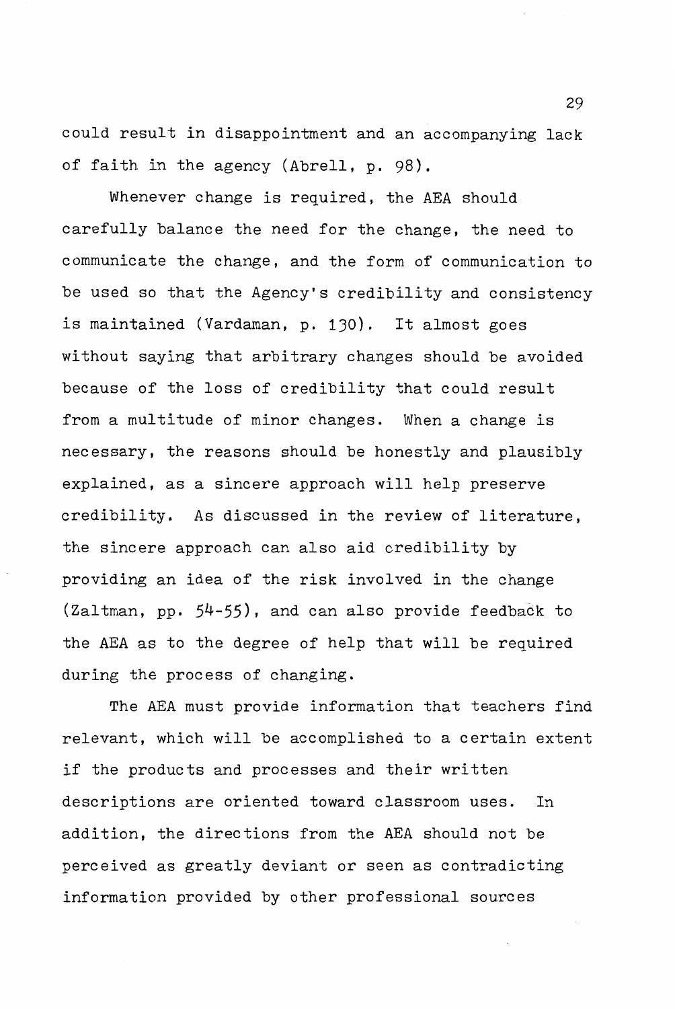could result in disappointment and an accompanying lack of faith in the agency (Abrell, p. 98).

Whenever change is required, the AEA should carefully balance the need for the change, the need to communicate the change, and the form of communication to be used so that the Agency's credibility and consistency is maintained (Vardaman, p. 130). It almost goes without saying that arbitrary changes should be avoided because of the loss of credibility that could result from a multitude of minor changes. When a change is necessary, the reasons should be honestly and plausibly explained, as a sincere approach will help preserve credibility. As discussed in the review of literature, the sincere approach can also aid credibility by providing an idea of the risk involved in the change (Zaltman, pp. 54-55), and can also provide feedback to the AEA as to the degree of help that will be required during the process of changing.

The AEA must provide information that teachers find relevant, which will be accomplished to a certain extent if the products and processes and their written descriptions are oriented toward classroom uses. In addition, the directions from the AEA should not be perceived as greatly deviant or seen as contradicting information provided by other professional sources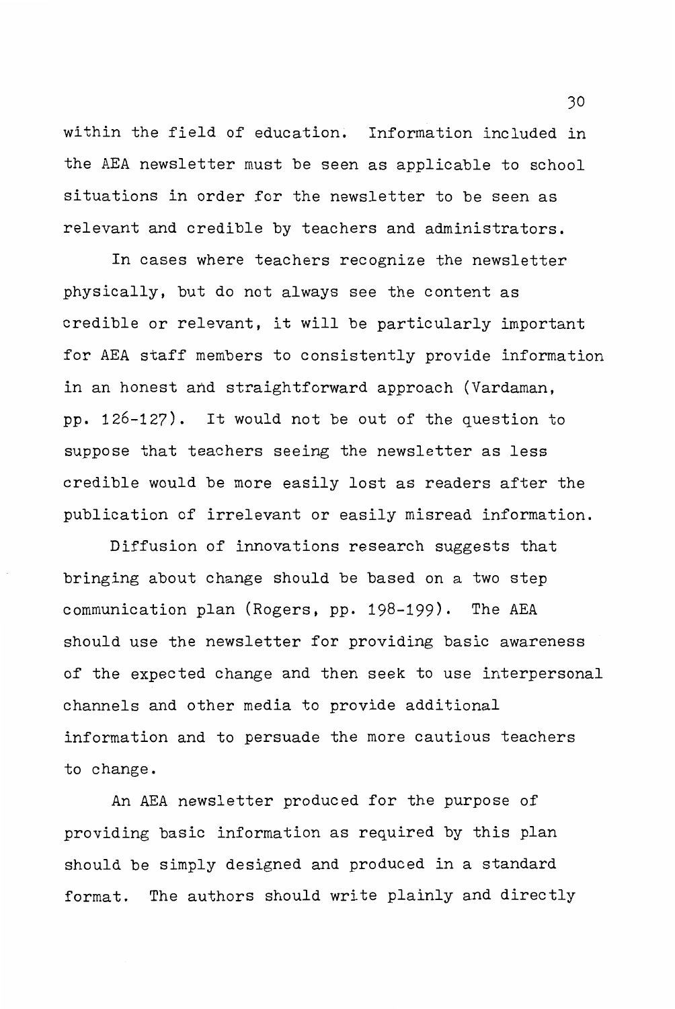within the field of education. Information included in the AEA newsletter must be seen as applicable to school situations in order for the newsletter to be seen as relevant and credible by teachers and administrators.

In cases where teachers recognize the newsletter physically, but do not always see the content as credible or relevant, it will be particularly important for AEA staff members to consistently provide information in an honest and straightforward approach (Vardaman, pp. 126-127). It would not be out of the question to suppose that teachers seeing the newsletter as less credible would be more easily lost as readers after the publication of irrelevant or easily misread information.

Diffusion of innovations research suggests that bringing about change should be based on a two step communication plan (Rogers, pp. 198-199), The AEA should use the newsletter for providing basic awareness of the expected change and then seek to use interpersonal channels and other media to provide additional information and to persuade the more cautious teachers to change.

An AEA newsletter produced for the purpose of providing basic information as required by this plan should be simply designed and produced in a standard format. The authors should write plainly and directly

JO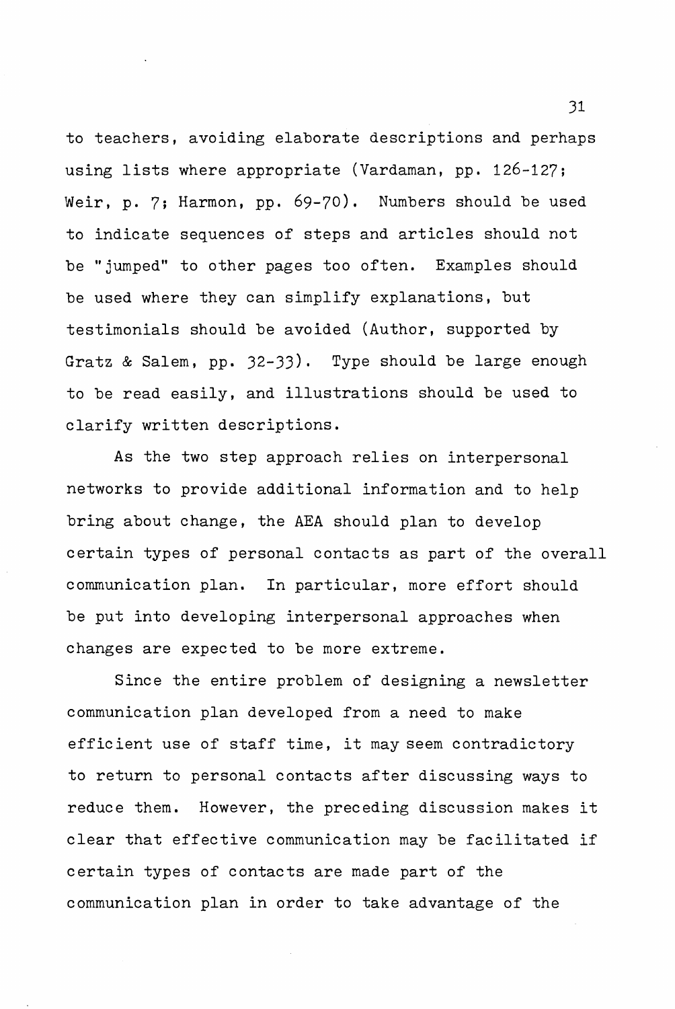to teachers, avoiding elaborate descriptions and perhaps using lists where appropriate (Vardaman, pp. 126-127; Weir, p. 7; Harmon, pp. 69-70). Numbers should be used to indicate sequences of steps and articles should not be "jumped" to other pages too often. Examples should be used where they can simplify explanations, but testimonials should be avoided (Author, supported by Gratz & Salem, pp. 32-33). Type should be large enough to be read easily, and illustrations should be used to clarify written descriptions.

As the two step approach relies on interpersonal networks to provide additional information and to help bring about change, the AEA should plan to develop certain types of personal contacts as part of the overall communication plan. In particular, more effort should be put into developing interpersonal approaches when changes are expected to be more extreme.

Since the entire problem of designing a newsletter communication plan developed from a need to make efficient use of staff time, it may seem contradictory to return to personal contacts after discussing ways to reduce them. However, the preceding discussion makes it clear that effective communication may be facilitated if certain types of contacts are made part of the communication plan in order to take advantage of the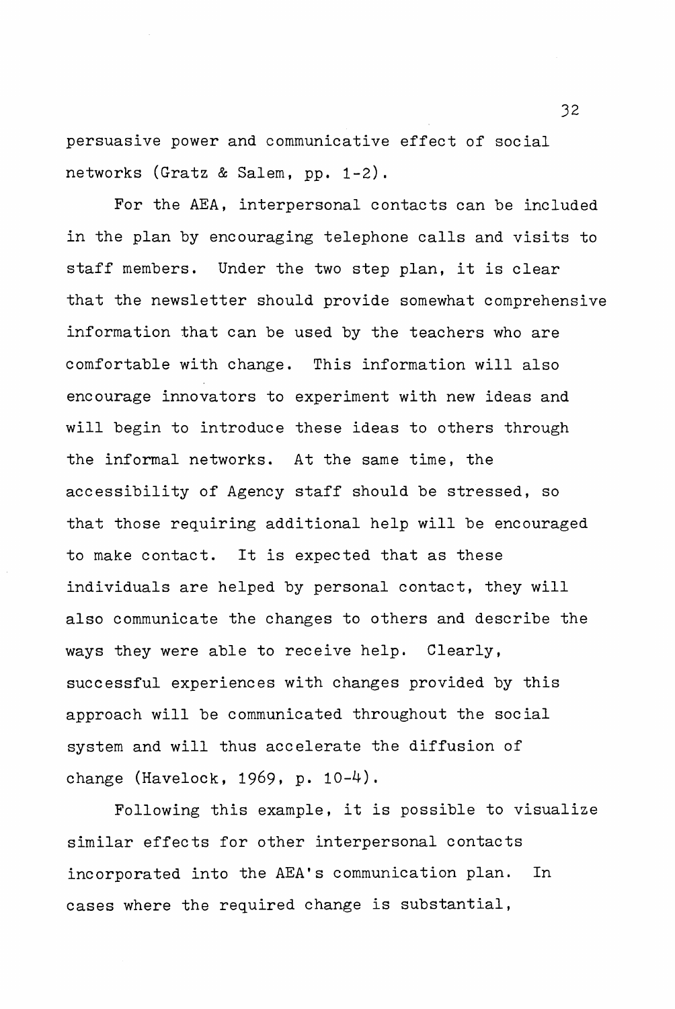persuasive power and communicative effect of social networks (Gratz & Salem, pp. 1-2).

For the AEA, interpersonal contacts can be included in the plan by encouraging telephone calls and visits to staff members. Under the two step plan, it is clear that the newsletter should provide somewhat comprehensive information that can be used by the teachers who are comfortable with change. This information will also encourage innovators to experiment with new ideas and will begin to introduce these ideas to others through the informal networks. At the same time, the accessibility of Agency staff should be stressed, so that those requiring additional help will be encouraged to make contact. It is expected that as these individuals are helped by personal contact, they will also communicate the changes to others and describe the ways they were able to receive help. Clearly, successful experiences with changes provided by this approach will be communicated throughout the social system and will thus accelerate the diffusion of change (Havelock, 1969, p. 10-4).

Following this example, it is possible to visualize similar effects for other interpersonal contacts incorporated into the AEA's communication plan. In cases where the required change is substantial,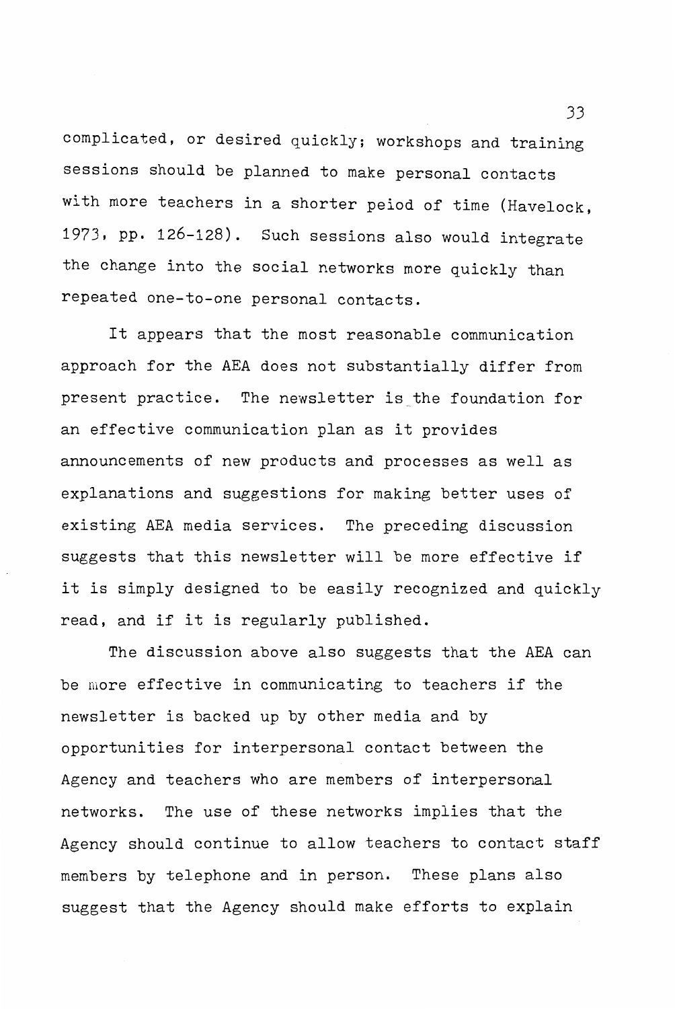complicated, or desired quickly; workshops and training sessions should be planned to make personal contacts with more teachers in a shorter peiod of time (Havelock, 1973, pp. 126-128). Such sessions also would integrate the change into the social networks more quickly than repeated one-to-one personal contacts.

It appears that the most reasonable communication approach for the AEA does not substantially differ from present practice. The newsletter is the foundation for an effective communication plan as it provides announcements of new products and processes as well as explanations and suggestions for making better uses of existing AEA media services. The preceding discussion suggests that this newsletter will be more effective if it is simply designed to be easily recognized and quickly read, and if it is regularly published.

The discussion above also suggests that the AEA can be more effective in communicating to teachers if the newsletter is backed up by other media and by opportunities for interpersonal contact between the Agency and teachers who are members of interpersonal networks. The use of these networks implies that the Agency should continue to allow teachers to contact staff members by telephone and in person. These plans also suggest that the Agency should make efforts to explain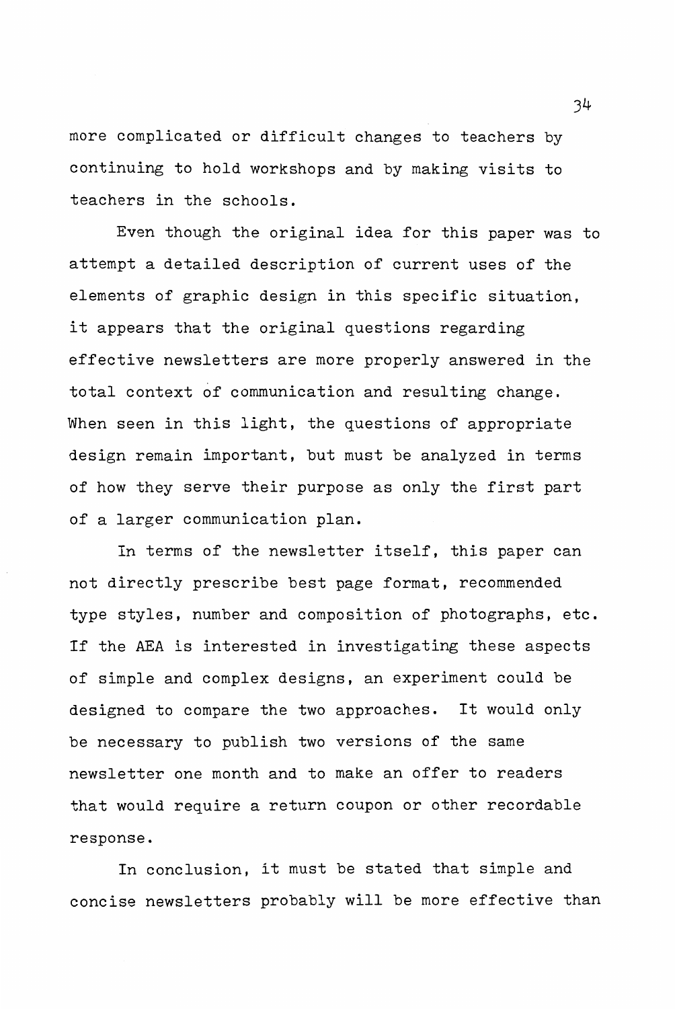more complicated or difficult changes to teachers by continuing to hold workshops and by making visits to teachers in the schools.

Even though the original idea for this paper was to attempt a detailed description of current uses of the elements of graphic design in this specific situation, it appears that the original questions regarding effective newsletters are more properly answered in the total context of communication and resulting change. When seen in this light, the questions of appropriate design remain important, but must be analyzed in terms of how they serve their purpose as only the first part of a larger communication plan.

In terms of the newsletter itself, this paper can not directly prescribe best page format, recommended type styles, number and composition of photographs, etc. If the AEA is interested in investigating these aspects of simple and complex designs, an experiment could be designed to compare the two approaches. It would only be necessary to publish two versions of the same newsletter one month and to make an offer to readers that would require a return coupon or other recordable response.

In conclusion, it must be stated that simple and concise newsletters probably will be more effective than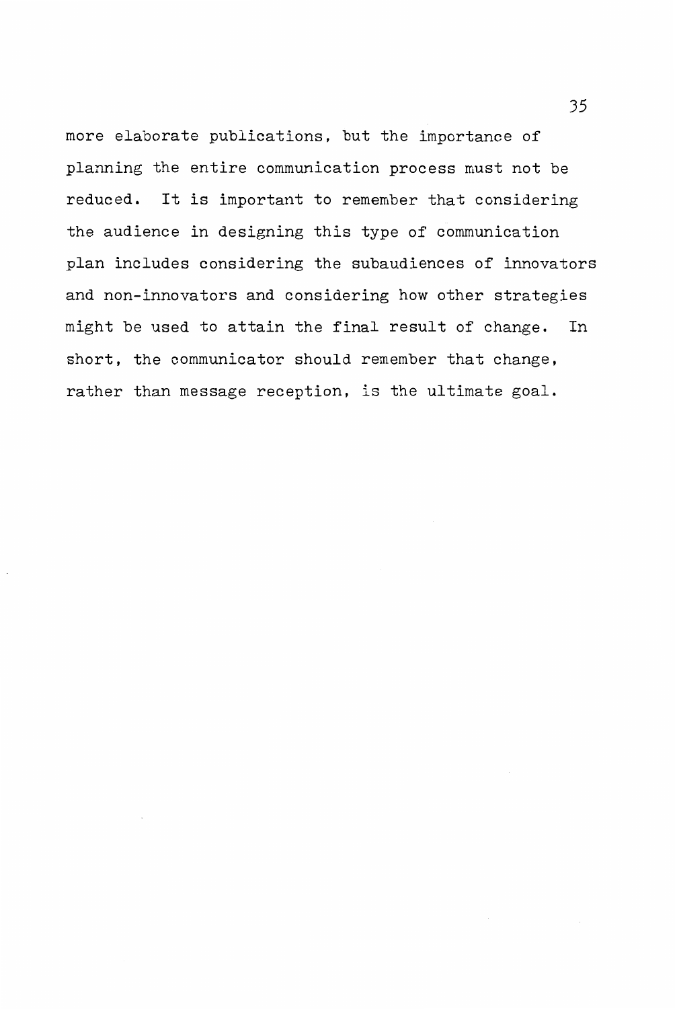more elaborate publications, but the importance of planning the entire communication process must not be reduced. It is important to remember that considering the audience in designing this type of communication plan includes considering the subaudiences of innovators and non-innovators and considering how other strategies might be used to attain the final result of change. In short, the communicator should remember that change, rather than message reception, is the ultimate goal.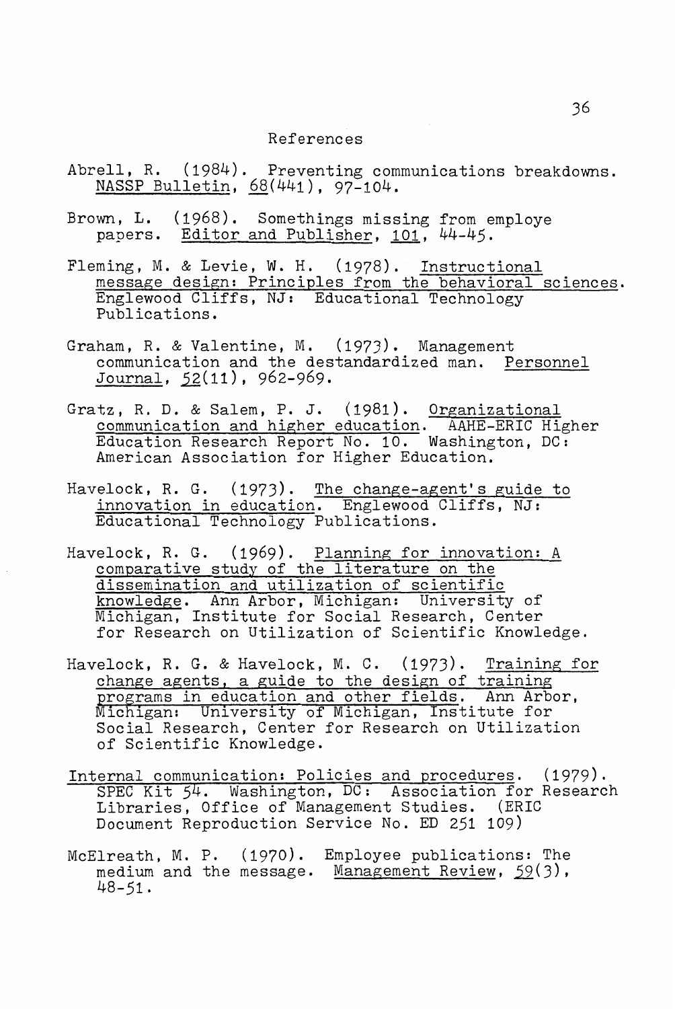#### References

- Abrell, R. (1984). Preventing communications breakdowns. NASSP Bulletin, 68(441), 97-104.
- Brown, L. (1968). Somethings missing from employe papers. Editor and Publisher, 101, 44-45.
- Fleming, M. & Levie, W. H. (1978). Instructional message design: Principles from the behavioral sciences. Englewood Cliffs, NJ: Educational Technology Publications.
- Graham, R. & Valentine, M. (1973). Management communication and the destandardized man. Personnel Journal,  $52(11)$ ,  $962-969$ .
- Gratz, R. D. & Salem, P. J. (1981). Organizational communication and higher education. AAHE-ERIC Higher Education Research Report No. 10. Washington, DC: American Association for Higher Education.
- Havelock, R. G. (1973). The change-agent's guide to innovation in education. Englewood Cliffs, NJ: Educational Technology Publications.
- Havelock, R. G. (1969). Planning for innovation: A comparative study of the literature on the dissemination and utilization of scientific knowledge. Ann Arbor, Michigan: University of Michigan, Institute for Social Research, Center for Research on Utilization of Scientific Knowledge.
- Havelock, R. G. & Havelock, M. C. (1973). Training for change agents, a guide to the design of training programs in education and other fields. Ann Arbor, Michigan: University of Michigan, Institute for Social Research, Center for Research on Utilization of Scientific Knowledge.
- Internal communication: Policies and procedures. (1979). SPEC Kit 54. Washington, DC: Association for Research Libraries, Office of Management Studies. (ERIC Document Reproduction Service No. ED 251 109)
- McElreath, M. P. (1970). Employee publications: The medium and the message. Management Review, 59(3), 48-51.